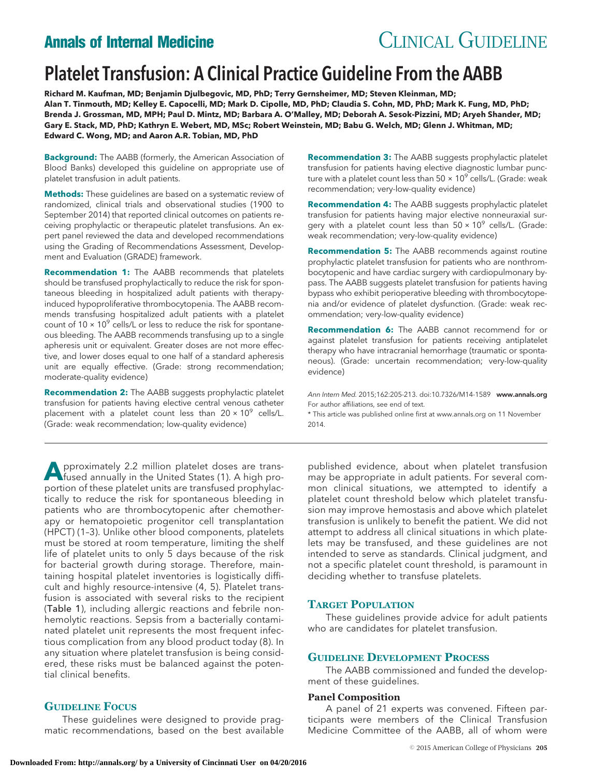# **Annals of Internal Medicine CLINICAL GUIDELINE**

# Platelet Transfusion: A Clinical Practice Guideline From the AABB

**Richard M. Kaufman, MD; Benjamin Djulbegovic, MD, PhD; Terry Gernsheimer, MD; Steven Kleinman, MD; Alan T. Tinmouth, MD; Kelley E. Capocelli, MD; Mark D. Cipolle, MD, PhD; Claudia S. Cohn, MD, PhD; Mark K. Fung, MD, PhD; Brenda J. Grossman, MD, MPH; Paul D. Mintz, MD; Barbara A. O'Malley, MD; Deborah A. Sesok-Pizzini, MD; Aryeh Shander, MD; Gary E. Stack, MD, PhD; Kathryn E. Webert, MD, MSc; Robert Weinstein, MD; Babu G. Welch, MD; Glenn J. Whitman, MD; Edward C. Wong, MD; and Aaron A.R. Tobian, MD, PhD**

**Background:** The AABB (formerly, the American Association of Blood Banks) developed this guideline on appropriate use of platelet transfusion in adult patients.

**Methods:** These guidelines are based on a systematic review of randomized, clinical trials and observational studies (1900 to September 2014) that reported clinical outcomes on patients receiving prophylactic or therapeutic platelet transfusions. An expert panel reviewed the data and developed recommendations using the Grading of Recommendations Assessment, Development and Evaluation (GRADE) framework.

**Recommendation 1:** The AABB recommends that platelets should be transfused prophylactically to reduce the risk for spontaneous bleeding in hospitalized adult patients with therapyinduced hypoproliferative thrombocytopenia. The AABB recommends transfusing hospitalized adult patients with a platelet count of 10  $\times$  10<sup>9</sup> cells/L or less to reduce the risk for spontaneous bleeding. The AABB recommends transfusing up to a single apheresis unit or equivalent. Greater doses are not more effective, and lower doses equal to one half of a standard apheresis unit are equally effective. (Grade: strong recommendation; moderate-quality evidence)

**Recommendation 2:** The AABB suggests prophylactic platelet transfusion for patients having elective central venous catheter placement with a platelet count less than  $20 \times 10^9$  cells/L. (Grade: weak recommendation; low-quality evidence)

**Recommendation 3:** The AABB suggests prophylactic platelet transfusion for patients having elective diagnostic lumbar puncture with a platelet count less than 50  $\times$  10<sup>9</sup> cells/L. (Grade: weak recommendation; very-low-quality evidence)

**Recommendation 4:** The AABB suggests prophylactic platelet transfusion for patients having major elective nonneuraxial surgery with a platelet count less than  $50 \times 10^9$  cells/L. (Grade: weak recommendation; very-low-quality evidence)

**Recommendation 5:** The AABB recommends against routine prophylactic platelet transfusion for patients who are nonthrombocytopenic and have cardiac surgery with cardiopulmonary bypass. The AABB suggests platelet transfusion for patients having bypass who exhibit perioperative bleeding with thrombocytopenia and/or evidence of platelet dysfunction. (Grade: weak recommendation; very-low-quality evidence)

**Recommendation 6:** The AABB cannot recommend for or against platelet transfusion for patients receiving antiplatelet therapy who have intracranial hemorrhage (traumatic or spontaneous). (Grade: uncertain recommendation; very-low-quality evidence)

Ann Intern Med. 2015;162:205-213. doi:10.7326/M14-1589 www.annals.org For author affiliations, see end of text.

\* This article was published online first at [www.annals.org](http://www.annals.org) on 11 November 2014.

**A**pproximately 2.2 million platelet doses are trans-<br>fused annually in the United States (1). A high proportion of these platelet units are transfused prophylactically to reduce the risk for spontaneous bleeding in patients who are thrombocytopenic after chemotherapy or hematopoietic progenitor cell transplantation (HPCT) (1–3). Unlike other blood components, platelets must be stored at room temperature, limiting the shelf life of platelet units to only 5 days because of the risk for bacterial growth during storage. Therefore, maintaining hospital platelet inventories is logistically difficult and highly resource-intensive (4, 5). Platelet transfusion is associated with several risks to the recipient (Table 1), including allergic reactions and febrile nonhemolytic reactions. Sepsis from a bacterially contaminated platelet unit represents the most frequent infectious complication from any blood product today (8). In any situation where platelet transfusion is being considered, these risks must be balanced against the potential clinical benefits.

## **GUIDELINE FOCUS**

These guidelines were designed to provide pragmatic recommendations, based on the best available published evidence, about when platelet transfusion may be appropriate in adult patients. For several common clinical situations, we attempted to identify a platelet count threshold below which platelet transfusion may improve hemostasis and above which platelet transfusion is unlikely to benefit the patient. We did not attempt to address all clinical situations in which platelets may be transfused, and these guidelines are not intended to serve as standards. Clinical judgment, and not a specific platelet count threshold, is paramount in deciding whether to transfuse platelets.

#### **TARGET POPULATION**

These guidelines provide advice for adult patients who are candidates for platelet transfusion.

## **GUIDELINE DEVELOPMENT PROCESS**

The AABB commissioned and funded the development of these guidelines.

#### **Panel Composition**

A panel of 21 experts was convened. Fifteen participants were members of the Clinical Transfusion Medicine Committee of the AABB, all of whom were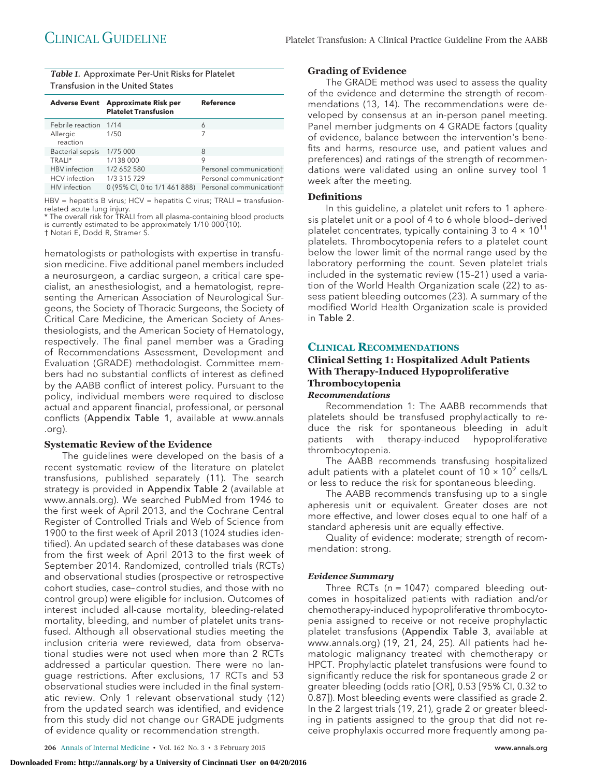*Table 1.* Approximate Per-Unit Risks for Platelet Transfusion in the United States

|                       | <b>Adverse Event</b> Approximate Risk per<br><b>Platelet Transfusion</b> | Reference                           |
|-----------------------|--------------------------------------------------------------------------|-------------------------------------|
| Febrile reaction 1/14 |                                                                          | 6                                   |
| Allergic<br>reaction  | 1/50                                                                     |                                     |
| Bacterial sepsis      | 1/75 000                                                                 | 8                                   |
| TRALI*                | 1/138 000                                                                | 9                                   |
| <b>HBV</b> infection  | 1/2 652 580                                                              | Personal communication <sup>+</sup> |
| <b>HCV</b> infection  | 1/3 315 729                                                              | Personal communication <sup>+</sup> |
| <b>HIV</b> infection  | 0 (95% CI, 0 to 1/1 461 888)                                             | Personal communication <sup>+</sup> |

HBV = hepatitis B virus; HCV = hepatitis C virus; TRALI = transfusionrelated acute lung injury.

\* The overall risk for TRALI from all plasma-containing blood products is currently estimated to be approximately 1/10 000 (10).

† Notari E, Dodd R, Stramer S.

hematologists or pathologists with expertise in transfusion medicine. Five additional panel members included a neurosurgeon, a cardiac surgeon, a critical care specialist, an anesthesiologist, and a hematologist, representing the American Association of Neurological Surgeons, the Society of Thoracic Surgeons, the Society of Critical Care Medicine, the American Society of Anesthesiologists, and the American Society of Hematology, respectively. The final panel member was a Grading of Recommendations Assessment, Development and Evaluation (GRADE) methodologist. Committee members had no substantial conflicts of interest as defined by the AABB conflict of interest policy. Pursuant to the policy, individual members were required to disclose actual and apparent financial, professional, or personal conflicts (Appendix Table 1, available at [www.annals](http://www.annals.org) [.org\)](http://www.annals.org).

#### **Systematic Review of the Evidence**

The guidelines were developed on the basis of a recent systematic review of the literature on platelet transfusions, published separately (11). The search strategy is provided in Appendix Table 2 (available at [www.annals.org\)](http://www.annals.org). We searched PubMed from 1946 to the first week of April 2013, and the Cochrane Central Register of Controlled Trials and Web of Science from 1900 to the first week of April 2013 (1024 studies identified). An updated search of these databases was done from the first week of April 2013 to the first week of September 2014. Randomized, controlled trials (RCTs) and observational studies (prospective or retrospective cohort studies, case– control studies, and those with no control group) were eligible for inclusion. Outcomes of interest included all-cause mortality, bleeding-related mortality, bleeding, and number of platelet units transfused. Although all observational studies meeting the inclusion criteria were reviewed, data from observational studies were not used when more than 2 RCTs addressed a particular question. There were no language restrictions. After exclusions, 17 RCTs and 53 observational studies were included in the final systematic review. Only 1 relevant observational study (12) from the updated search was identified, and evidence from this study did not change our GRADE judgments of evidence quality or recommendation strength.

#### **Grading of Evidence**

The GRADE method was used to assess the quality of the evidence and determine the strength of recommendations (13, 14). The recommendations were developed by consensus at an in-person panel meeting. Panel member judgments on 4 GRADE factors (quality of evidence, balance between the intervention's benefits and harms, resource use, and patient values and preferences) and ratings of the strength of recommendations were validated using an online survey tool 1 week after the meeting.

#### **Definitions**

In this guideline, a platelet unit refers to 1 apheresis platelet unit or a pool of 4 to 6 whole blood–derived platelet concentrates, typically containing 3 to  $4 \times 10^{11}$ platelets. Thrombocytopenia refers to a platelet count below the lower limit of the normal range used by the laboratory performing the count. Seven platelet trials included in the systematic review (15–21) used a variation of the World Health Organization scale (22) to assess patient bleeding outcomes (23). A summary of the modified World Health Organization scale is provided in Table 2.

#### **CLINICAL RECOMMENDATIONS**

# **Clinical Setting 1: Hospitalized Adult Patients With Therapy-Induced Hypoproliferative Thrombocytopenia**

# *Recommendations*

Recommendation 1: The AABB recommends that platelets should be transfused prophylactically to reduce the risk for spontaneous bleeding in adult patients with therapy-induced hypoproliferative thrombocytopenia.

The AABB recommends transfusing hospitalized adult patients with a platelet count of 10  $\times$  10<sup>9</sup> cells/L or less to reduce the risk for spontaneous bleeding.

The AABB recommends transfusing up to a single apheresis unit or equivalent. Greater doses are not more effective, and lower doses equal to one half of a standard apheresis unit are equally effective.

Quality of evidence: moderate; strength of recommendation: strong.

#### *Evidence Summary*

Three RCTs ( $n = 1047$ ) compared bleeding outcomes in hospitalized patients with radiation and/or chemotherapy-induced hypoproliferative thrombocytopenia assigned to receive or not receive prophylactic platelet transfusions (Appendix Table 3, available at [www.annals.org\)](http://www.annals.org) (19, 21, 24, 25). All patients had hematologic malignancy treated with chemotherapy or HPCT. Prophylactic platelet transfusions were found to significantly reduce the risk for spontaneous grade 2 or greater bleeding (odds ratio [OR], 0.53 [95% CI, 0.32 to 0.87]). Most bleeding events were classified as grade 2. In the 2 largest trials (19, 21), grade 2 or greater bleeding in patients assigned to the group that did not receive prophylaxis occurred more frequently among pa-

**206** Annals of Internal Medicine • Vol. 162 No. 3 • 3 February 2015 www.annals.org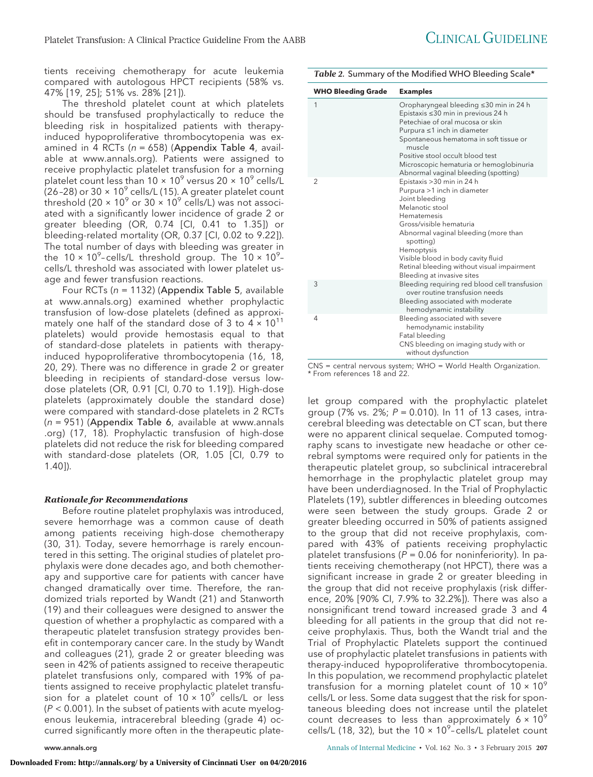tients receiving chemotherapy for acute leukemia compared with autologous HPCT recipients (58% vs. 47% [19, 25]; 51% vs. 28% [21]).

The threshold platelet count at which platelets should be transfused prophylactically to reduce the bleeding risk in hospitalized patients with therapyinduced hypoproliferative thrombocytopenia was examined in 4 RCTs ( $n = 658$ ) (Appendix Table 4, available at [www.annals.org\)](http://www.annals.org). Patients were assigned to receive prophylactic platelet transfusion for a morning platelet count less than 10  $\times$  10<sup>9</sup> versus 20  $\times$  10<sup>9</sup> cells/L  $(26 - 28)$  or 30  $\times$  10<sup>9</sup> cells/L (15). A greater platelet count threshold (20  $\times$  10<sup>9</sup> or 30  $\times$  10<sup>9</sup> cells/L) was not associated with a significantly lower incidence of grade 2 or greater bleeding (OR, 0.74 [CI, 0.41 to 1.35]) or bleeding-related mortality (OR, 0.37 [CI, 0.02 to 9.22]). The total number of days with bleeding was greater in the  $10 \times 10^9$ -cells/L threshold group. The  $10 \times 10^9$ cells/L threshold was associated with lower platelet usage and fewer transfusion reactions.

Four RCTs ( $n = 1132$ ) (Appendix Table 5, available at [www.annals.org\)](http://www.annals.org) examined whether prophylactic transfusion of low-dose platelets (defined as approximately one half of the standard dose of 3 to  $4 \times 10^{11}$ platelets) would provide hemostasis equal to that of standard-dose platelets in patients with therapyinduced hypoproliferative thrombocytopenia (16, 18, 20, 29). There was no difference in grade 2 or greater bleeding in recipients of standard-dose versus lowdose platelets (OR, 0.91 [CI, 0.70 to 1.19]). High-dose platelets (approximately double the standard dose) were compared with standard-dose platelets in 2 RCTs  $(n = 951)$  (Appendix Table 6, available at [www.annals](http://www.annals.org) [.org\)](http://www.annals.org) (17, 18). Prophylactic transfusion of high-dose platelets did not reduce the risk for bleeding compared with standard-dose platelets (OR, 1.05 [CI, 0.79 to 1.40]).

#### *Rationale for Recommendations*

Before routine platelet prophylaxis was introduced, severe hemorrhage was a common cause of death among patients receiving high-dose chemotherapy (30, 31). Today, severe hemorrhage is rarely encountered in this setting. The original studies of platelet prophylaxis were done decades ago, and both chemotherapy and supportive care for patients with cancer have changed dramatically over time. Therefore, the randomized trials reported by Wandt (21) and Stanworth (19) and their colleagues were designed to answer the question of whether a prophylactic as compared with a therapeutic platelet transfusion strategy provides benefit in contemporary cancer care. In the study by Wandt and colleagues (21), grade 2 or greater bleeding was seen in 42% of patients assigned to receive therapeutic platelet transfusions only, compared with 19% of patients assigned to receive prophylactic platelet transfusion for a platelet count of  $10 \times 10^9$  cells/L or less  $(P < 0.001)$ . In the subset of patients with acute myelogenous leukemia, intracerebral bleeding (grade 4) occurred significantly more often in the therapeutic plate*Table 2.* Summary of the Modified WHO Bleeding Scale\*

| <b>WHO Bleeding Grade</b> | <b>Examples</b>                                                                                                                                                                                                                                                                                                               |
|---------------------------|-------------------------------------------------------------------------------------------------------------------------------------------------------------------------------------------------------------------------------------------------------------------------------------------------------------------------------|
| 1                         | Oropharyngeal bleeding ≤30 min in 24 h<br>Epistaxis ≤30 min in previous 24 h<br>Petechiae of oral mucosa or skin<br>Purpura ≤1 inch in diameter<br>Spontaneous hematoma in soft tissue or<br>muscle<br>Positive stool occult blood test<br>Microscopic hematuria or hemoglobinuria<br>Abnormal vaginal bleeding (spotting)    |
| $\overline{2}$            | Epistaxis > 30 min in 24 h<br>Purpura >1 inch in diameter<br>Joint bleeding<br>Melanotic stool<br>Hematemesis<br>Gross/visible hematuria<br>Abnormal vaginal bleeding (more than<br>spotting)<br>Hemoptysis<br>Visible blood in body cavity fluid<br>Retinal bleeding without visual impairment<br>Bleeding at invasive sites |
| 3                         | Bleeding requiring red blood cell transfusion<br>over routine transfusion needs<br>Bleeding associated with moderate<br>hemodynamic instability                                                                                                                                                                               |
| 4                         | Bleeding associated with severe<br>hemodynamic instability<br>Fatal bleeding<br>CNS bleeding on imaging study with or<br>without dysfunction                                                                                                                                                                                  |

CNS = central nervous system; WHO = World Health Organization. \* From references 18 and 22.

let group compared with the prophylactic platelet group (7% vs. 2%;  $P = 0.010$ ). In 11 of 13 cases, intracerebral bleeding was detectable on CT scan, but there were no apparent clinical sequelae. Computed tomography scans to investigate new headache or other cerebral symptoms were required only for patients in the therapeutic platelet group, so subclinical intracerebral hemorrhage in the prophylactic platelet group may have been underdiagnosed. In the Trial of Prophylactic Platelets (19), subtler differences in bleeding outcomes were seen between the study groups. Grade 2 or greater bleeding occurred in 50% of patients assigned to the group that did not receive prophylaxis, compared with 43% of patients receiving prophylactic platelet transfusions ( $P = 0.06$  for noninferiority). In patients receiving chemotherapy (not HPCT), there was a significant increase in grade 2 or greater bleeding in the group that did not receive prophylaxis (risk difference, 20% [90% CI, 7.9% to 32.2%]). There was also a nonsignificant trend toward increased grade 3 and 4 bleeding for all patients in the group that did not receive prophylaxis. Thus, both the Wandt trial and the Trial of Prophylactic Platelets support the continued use of prophylactic platelet transfusions in patients with therapy-induced hypoproliferative thrombocytopenia. In this population, we recommend prophylactic platelet transfusion for a morning platelet count of  $10 \times 10^9$ cells/L or less. Some data suggest that the risk for spontaneous bleeding does not increase until the platelet count decreases to less than approximately  $6 \times 10^9$ cells/L (18, 32), but the 10  $\times$  10<sup>9</sup>-cells/L platelet count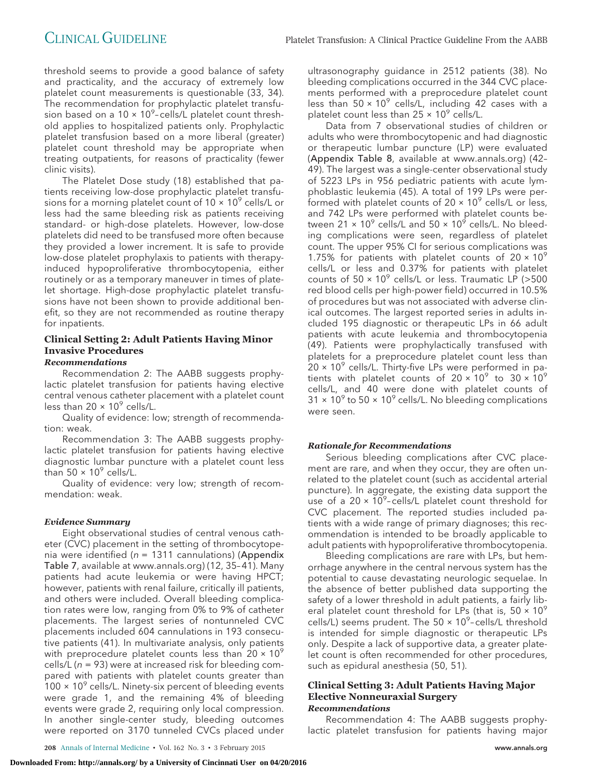threshold seems to provide a good balance of safety and practicality, and the accuracy of extremely low platelet count measurements is questionable (33, 34). The recommendation for prophylactic platelet transfusion based on a 10  $\times$  10<sup>9</sup>-cells/L platelet count threshold applies to hospitalized patients only. Prophylactic platelet transfusion based on a more liberal (greater) platelet count threshold may be appropriate when treating outpatients, for reasons of practicality (fewer clinic visits).

The Platelet Dose study (18) established that patients receiving low-dose prophylactic platelet transfusions for a morning platelet count of 10  $\times$  10<sup>9</sup> cells/L or less had the same bleeding risk as patients receiving standard- or high-dose platelets. However, low-dose platelets did need to be transfused more often because they provided a lower increment. It is safe to provide low-dose platelet prophylaxis to patients with therapyinduced hypoproliferative thrombocytopenia, either routinely or as a temporary maneuver in times of platelet shortage. High-dose prophylactic platelet transfusions have not been shown to provide additional benefit, so they are not recommended as routine therapy for inpatients.

# **Clinical Setting 2: Adult Patients Having Minor Invasive Procedures**

#### *Recommendations*

Recommendation 2: The AABB suggests prophylactic platelet transfusion for patients having elective central venous catheter placement with a platelet count less than 20  $\times$  10<sup>9</sup> cells/L.

Quality of evidence: low; strength of recommendation: weak.

Recommendation 3: The AABB suggests prophylactic platelet transfusion for patients having elective diagnostic lumbar puncture with a platelet count less than  $50 \times 10^9$  cells/L.

Quality of evidence: very low; strength of recommendation: weak.

#### *Evidence Summary*

Eight observational studies of central venous catheter (CVC) placement in the setting of thrombocytopenia were identified ( $n = 1311$  cannulations) (Appendix Table 7, available at [www.annals.org\)](http://www.annals.org) (12, 35– 41). Many patients had acute leukemia or were having HPCT; however, patients with renal failure, critically ill patients, and others were included. Overall bleeding complication rates were low, ranging from 0% to 9% of catheter placements. The largest series of nontunneled CVC placements included 604 cannulations in 193 consecutive patients (41). In multivariate analysis, only patients with preprocedure platelet counts less than  $20 \times 10^9$ cells/L ( $n = 93$ ) were at increased risk for bleeding compared with patients with platelet counts greater than  $100 \times 10^9$  cells/L. Ninety-six percent of bleeding events were grade 1, and the remaining 4% of bleeding events were grade 2, requiring only local compression. In another single-center study, bleeding outcomes were reported on 3170 tunneled CVCs placed under

ultrasonography guidance in 2512 patients (38). No bleeding complications occurred in the 344 CVC placements performed with a preprocedure platelet count less than 50  $\times$  10<sup>9</sup> cells/L, including 42 cases with a platelet count less than  $25 \times 10^9$  cells/L.

Data from 7 observational studies of children or adults who were thrombocytopenic and had diagnostic or therapeutic lumbar puncture (LP) were evaluated (Appendix Table 8, available at [www.annals.org\)](http://www.annals.org) (42– 49). The largest was a single-center observational study of 5223 LPs in 956 pediatric patients with acute lymphoblastic leukemia (45). A total of 199 LPs were performed with platelet counts of  $20 \times 10^9$  cells/L or less, and 742 LPs were performed with platelet counts between 21  $\times$  10<sup>9</sup> cells/L and 50  $\times$  10<sup>9</sup> cells/L. No bleeding complications were seen, regardless of platelet count. The upper 95% CI for serious complications was 1.75% for patients with platelet counts of 20  $\times$  10<sup>9</sup> cells/L or less and 0.37% for patients with platelet counts of  $50 \times 10^9$  cells/L or less. Traumatic LP (>500 red blood cells per high-power field) occurred in 10.5% of procedures but was not associated with adverse clinical outcomes. The largest reported series in adults included 195 diagnostic or therapeutic LPs in 66 adult patients with acute leukemia and thrombocytopenia (49). Patients were prophylactically transfused with platelets for a preprocedure platelet count less than  $20 \times 10^9$  cells/L. Thirty-five LPs were performed in patients with platelet counts of 20  $\times$  10<sup>9</sup> to 30  $\times$  10<sup>9</sup> cells/L, and 40 were done with platelet counts of  $31 \times 10^9$  to 50  $\times$  10<sup>9</sup> cells/L. No bleeding complications were seen.

#### *Rationale for Recommendations*

Serious bleeding complications after CVC placement are rare, and when they occur, they are often unrelated to the platelet count (such as accidental arterial puncture). In aggregate, the existing data support the use of a 20  $\times$  10<sup>9</sup>-cells/L platelet count threshold for CVC placement. The reported studies included patients with a wide range of primary diagnoses; this recommendation is intended to be broadly applicable to adult patients with hypoproliferative thrombocytopenia.

Bleeding complications are rare with LPs, but hemorrhage anywhere in the central nervous system has the potential to cause devastating neurologic sequelae. In the absence of better published data supporting the safety of a lower threshold in adult patients, a fairly liberal platelet count threshold for LPs (that is,  $50 \times 10^9$ cells/L) seems prudent. The 50  $\times$  10<sup>9</sup>-cells/L threshold is intended for simple diagnostic or therapeutic LPs only. Despite a lack of supportive data, a greater platelet count is often recommended for other procedures, such as epidural anesthesia (50, 51).

#### **Clinical Setting 3: Adult Patients Having Major Elective Nonneuraxial Surgery** *Recommendations*

Recommendation 4: The AABB suggests prophylactic platelet transfusion for patients having major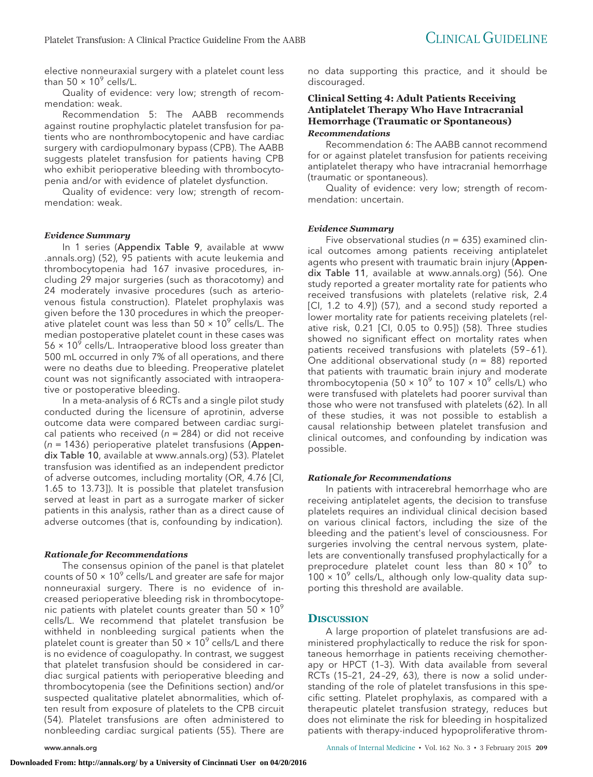elective nonneuraxial surgery with a platelet count less than  $50 \times 10^9$  cells/L.

Quality of evidence: very low; strength of recommendation: weak.

Recommendation 5: The AABB recommends against routine prophylactic platelet transfusion for patients who are nonthrombocytopenic and have cardiac surgery with cardiopulmonary bypass (CPB). The AABB suggests platelet transfusion for patients having CPB who exhibit perioperative bleeding with thrombocytopenia and/or with evidence of platelet dysfunction.

Quality of evidence: very low; strength of recommendation: weak.

#### *Evidence Summary*

In 1 series (Appendix Table 9, available at [www](http://www.annals.org) [.annals.org\)](http://www.annals.org) (52), 95 patients with acute leukemia and thrombocytopenia had 167 invasive procedures, including 29 major surgeries (such as thoracotomy) and 24 moderately invasive procedures (such as arteriovenous fistula construction). Platelet prophylaxis was given before the 130 procedures in which the preoperative platelet count was less than  $50 \times 10^9$  cells/L. The median postoperative platelet count in these cases was  $56 \times 10^9$  cells/L. Intraoperative blood loss greater than 500 mL occurred in only 7% of all operations, and there were no deaths due to bleeding. Preoperative platelet count was not significantly associated with intraoperative or postoperative bleeding.

In a meta-analysis of 6 RCTs and a single pilot study conducted during the licensure of aprotinin, adverse outcome data were compared between cardiac surgical patients who received ( $n = 284$ ) or did not receive  $(n = 1436)$  perioperative platelet transfusions (Appendix Table 10, available at [www.annals.org\)](http://www.annals.org) (53). Platelet transfusion was identified as an independent predictor of adverse outcomes, including mortality (OR, 4.76 [CI, 1.65 to 13.73]). It is possible that platelet transfusion served at least in part as a surrogate marker of sicker patients in this analysis, rather than as a direct cause of adverse outcomes (that is, confounding by indication).

#### *Rationale for Recommendations*

The consensus opinion of the panel is that platelet counts of  $50 \times 10^9$  cells/L and greater are safe for major nonneuraxial surgery. There is no evidence of increased perioperative bleeding risk in thrombocytopenic patients with platelet counts greater than  $50 \times 10^9$ cells/L. We recommend that platelet transfusion be withheld in nonbleeding surgical patients when the platelet count is greater than  $50 \times 10^9$  cells/L and there is no evidence of coagulopathy. In contrast, we suggest that platelet transfusion should be considered in cardiac surgical patients with perioperative bleeding and thrombocytopenia (see the Definitions section) and/or suspected qualitative platelet abnormalities, which often result from exposure of platelets to the CPB circuit (54). Platelet transfusions are often administered to nonbleeding cardiac surgical patients (55). There are

no data supporting this practice, and it should be discouraged.

#### **Clinical Setting 4: Adult Patients Receiving Antiplatelet Therapy Who Have Intracranial Hemorrhage (Traumatic or Spontaneous)** *Recommendations*

Recommendation 6: The AABB cannot recommend for or against platelet transfusion for patients receiving antiplatelet therapy who have intracranial hemorrhage (traumatic or spontaneous).

Quality of evidence: very low; strength of recommendation: uncertain.

#### *Evidence Summary*

Five observational studies ( $n = 635$ ) examined clinical outcomes among patients receiving antiplatelet agents who present with traumatic brain injury (Appendix Table 11, available at [www.annals.org\)](http://www.annals.org) (56). One study reported a greater mortality rate for patients who received transfusions with platelets (relative risk, 2.4 [CI, 1.2 to 4.9]) (57), and a second study reported a lower mortality rate for patients receiving platelets (relative risk, 0.21 [CI, 0.05 to 0.95]) (58). Three studies showed no significant effect on mortality rates when patients received transfusions with platelets (59-61). One additional observational study ( $n = 88$ ) reported that patients with traumatic brain injury and moderate thrombocytopenia (50  $\times$  10<sup>9</sup> to 107  $\times$  10<sup>9</sup> cells/L) who were transfused with platelets had poorer survival than those who were not transfused with platelets (62). In all of these studies, it was not possible to establish a causal relationship between platelet transfusion and clinical outcomes, and confounding by indication was possible.

#### *Rationale for Recommendations*

In patients with intracerebral hemorrhage who are receiving antiplatelet agents, the decision to transfuse platelets requires an individual clinical decision based on various clinical factors, including the size of the bleeding and the patient's level of consciousness. For surgeries involving the central nervous system, platelets are conventionally transfused prophylactically for a preprocedure platelet count less than  $80 \times 10^9$  to 100  $\times$  10<sup>9</sup> cells/L, although only low-quality data supporting this threshold are available.

#### **DISCUSSION**

A large proportion of platelet transfusions are administered prophylactically to reduce the risk for spontaneous hemorrhage in patients receiving chemotherapy or HPCT (1–3). With data available from several RCTs (15–21, 24 –29, 63), there is now a solid understanding of the role of platelet transfusions in this specific setting. Platelet prophylaxis, as compared with a therapeutic platelet transfusion strategy, reduces but does not eliminate the risk for bleeding in hospitalized patients with therapy-induced hypoproliferative throm-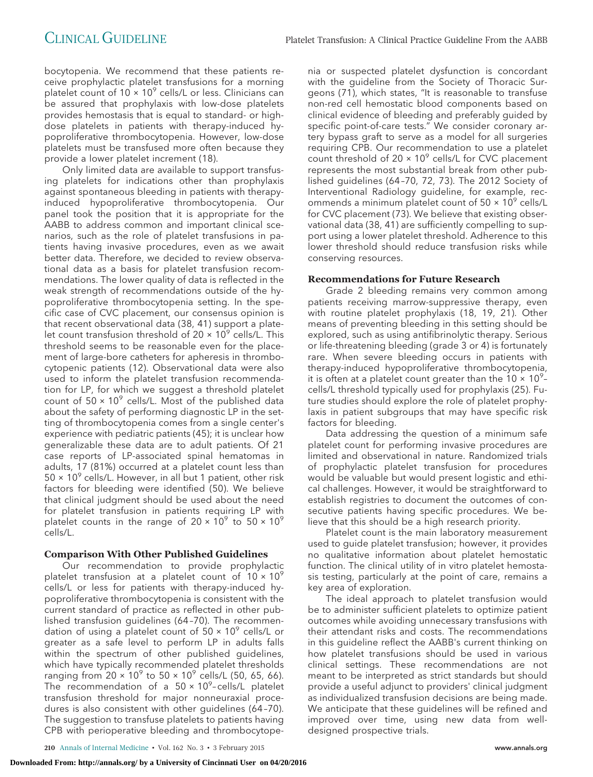bocytopenia. We recommend that these patients receive prophylactic platelet transfusions for a morning platelet count of  $10 \times 10^9$  cells/L or less. Clinicians can be assured that prophylaxis with low-dose platelets provides hemostasis that is equal to standard- or highdose platelets in patients with therapy-induced hypoproliferative thrombocytopenia. However, low-dose platelets must be transfused more often because they provide a lower platelet increment (18).

Only limited data are available to support transfusing platelets for indications other than prophylaxis against spontaneous bleeding in patients with therapyinduced hypoproliferative thrombocytopenia. Our panel took the position that it is appropriate for the AABB to address common and important clinical scenarios, such as the role of platelet transfusions in patients having invasive procedures, even as we await better data. Therefore, we decided to review observational data as a basis for platelet transfusion recommendations. The lower quality of data is reflected in the weak strength of recommendations outside of the hypoproliferative thrombocytopenia setting. In the specific case of CVC placement, our consensus opinion is that recent observational data (38, 41) support a platelet count transfusion threshold of  $20 \times 10^9$  cells/L. This threshold seems to be reasonable even for the placement of large-bore catheters for apheresis in thrombocytopenic patients (12). Observational data were also used to inform the platelet transfusion recommendation for LP, for which we suggest a threshold platelet count of  $50 \times 10^9$  cells/L. Most of the published data about the safety of performing diagnostic LP in the setting of thrombocytopenia comes from a single center's experience with pediatric patients (45); it is unclear how generalizable these data are to adult patients. Of 21 case reports of LP-associated spinal hematomas in adults, 17 (81%) occurred at a platelet count less than  $50 \times 10^9$  cells/L. However, in all but 1 patient, other risk factors for bleeding were identified (50). We believe that clinical judgment should be used about the need for platelet transfusion in patients requiring LP with platelet counts in the range of  $20 \times 10^9$  to  $50 \times 10^9$ cells/L.

#### **Comparison With Other Published Guidelines**

Our recommendation to provide prophylactic platelet transfusion at a platelet count of  $10 \times 10^9$ cells/L or less for patients with therapy-induced hypoproliferative thrombocytopenia is consistent with the current standard of practice as reflected in other published transfusion guidelines (64 –70). The recommendation of using a platelet count of  $50 \times 10^9$  cells/L or greater as a safe level to perform LP in adults falls within the spectrum of other published guidelines, which have typically recommended platelet thresholds ranging from  $20 \times 10^9$  to  $50 \times 10^9$  cells/L (50, 65, 66). The recommendation of a  $50 \times 10^9$ -cells/L platelet transfusion threshold for major nonneuraxial procedures is also consistent with other guidelines (64 –70). The suggestion to transfuse platelets to patients having CPB with perioperative bleeding and thrombocytope-

nia or suspected platelet dysfunction is concordant with the guideline from the Society of Thoracic Surgeons (71), which states, "It is reasonable to transfuse non-red cell hemostatic blood components based on clinical evidence of bleeding and preferably guided by specific point-of-care tests." We consider coronary artery bypass graft to serve as a model for all surgeries requiring CPB. Our recommendation to use a platelet count threshold of 20  $\times$  10<sup>9</sup> cells/L for CVC placement represents the most substantial break from other published guidelines (64 –70, 72, 73). The 2012 Society of Interventional Radiology guideline, for example, recommends a minimum platelet count of  $50 \times 10^9$  cells/L for CVC placement (73). We believe that existing observational data (38, 41) are sufficiently compelling to support using a lower platelet threshold. Adherence to this lower threshold should reduce transfusion risks while conserving resources.

#### **Recommendations for Future Research**

Grade 2 bleeding remains very common among patients receiving marrow-suppressive therapy, even with routine platelet prophylaxis (18, 19, 21). Other means of preventing bleeding in this setting should be explored, such as using antifibrinolytic therapy. Serious or life-threatening bleeding (grade 3 or 4) is fortunately rare. When severe bleeding occurs in patients with therapy-induced hypoproliferative thrombocytopenia, it is often at a platelet count greater than the  $10 \times 10^9$ cells/L threshold typically used for prophylaxis (25). Future studies should explore the role of platelet prophylaxis in patient subgroups that may have specific risk factors for bleeding.

Data addressing the question of a minimum safe platelet count for performing invasive procedures are limited and observational in nature. Randomized trials of prophylactic platelet transfusion for procedures would be valuable but would present logistic and ethical challenges. However, it would be straightforward to establish registries to document the outcomes of consecutive patients having specific procedures. We believe that this should be a high research priority.

Platelet count is the main laboratory measurement used to guide platelet transfusion; however, it provides no qualitative information about platelet hemostatic function. The clinical utility of in vitro platelet hemostasis testing, particularly at the point of care, remains a key area of exploration.

The ideal approach to platelet transfusion would be to administer sufficient platelets to optimize patient outcomes while avoiding unnecessary transfusions with their attendant risks and costs. The recommendations in this guideline reflect the AABB's current thinking on how platelet transfusions should be used in various clinical settings. These recommendations are not meant to be interpreted as strict standards but should provide a useful adjunct to providers' clinical judgment as individualized transfusion decisions are being made. We anticipate that these guidelines will be refined and improved over time, using new data from welldesigned prospective trials.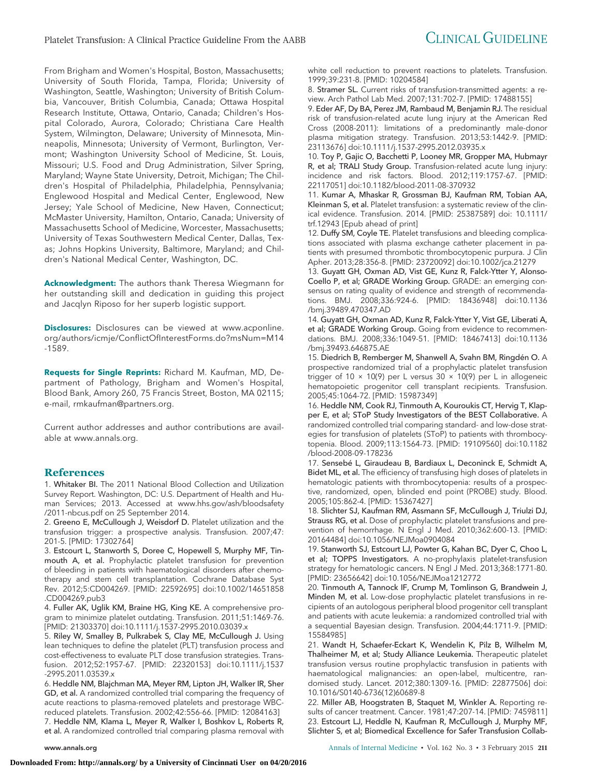From Brigham and Women's Hospital, Boston, Massachusetts; University of South Florida, Tampa, Florida; University of Washington, Seattle, Washington; University of British Columbia, Vancouver, British Columbia, Canada; Ottawa Hospital Research Institute, Ottawa, Ontario, Canada; Children's Hospital Colorado, Aurora, Colorado; Christiana Care Health System, Wilmington, Delaware; University of Minnesota, Minneapolis, Minnesota; University of Vermont, Burlington, Vermont; Washington University School of Medicine, St. Louis, Missouri; U.S. Food and Drug Administration, Silver Spring, Maryland; Wayne State University, Detroit, Michigan; The Children's Hospital of Philadelphia, Philadelphia, Pennsylvania; Englewood Hospital and Medical Center, Englewood, New Jersey; Yale School of Medicine, New Haven, Connecticut; McMaster University, Hamilton, Ontario, Canada; University of Massachusetts School of Medicine, Worcester, Massachusetts; University of Texas Southwestern Medical Center, Dallas, Texas; Johns Hopkins University, Baltimore, Maryland; and Children's National Medical Center, Washington, DC.

**Acknowledgment:** The authors thank Theresa Wiegmann for her outstanding skill and dedication in guiding this project and Jacqlyn Riposo for her superb logistic support.

**Disclosures:** Disclosures can be viewed at [www.acponline.](http://www.acponline.org/authors/icmje/ConflictOfInterestForms.do?msNum=M14-1589) [org/authors/icmje/ConflictOfInterestForms.do?msNum=M14](http://www.acponline.org/authors/icmje/ConflictOfInterestForms.do?msNum=M14-1589) [-1589.](http://www.acponline.org/authors/icmje/ConflictOfInterestForms.do?msNum=M14-1589)

**Requests for Single Reprints:** Richard M. Kaufman, MD, Department of Pathology, Brigham and Women's Hospital, Blood Bank, Amory 260, 75 Francis Street, Boston, MA 02115; e-mail, [rmkaufman@partners.org.](mailto:rmkaufman@partners.org)

Current author addresses and author contributions are available at [www.annals.org.](http://www.annals.org)

#### **References**

1. Whitaker BI. The 2011 National Blood Collection and Utilization Survey Report. Washington, DC: U.S. Department of Health and Human Services; 2013. Accessed at [www.hhs.gov/ash/bloodsafety](http://www.hhs.gov/ash/bloodsafety/2011-nbcus.pdf) [/2011-nbcus.pdf](http://www.hhs.gov/ash/bloodsafety/2011-nbcus.pdf) on 25 September 2014.

2. Greeno E, McCullough J, Weisdorf D. Platelet utilization and the transfusion trigger: a prospective analysis. Transfusion. 2007;47: 201-5. [PMID: 17302764]

3. Estcourt L, Stanworth S, Doree C, Hopewell S, Murphy MF, Tinmouth A, et al. Prophylactic platelet transfusion for prevention of bleeding in patients with haematological disorders after chemotherapy and stem cell transplantation. Cochrane Database Syst Rev. 2012;5:CD004269. [PMID: 22592695] doi:10.1002/14651858 .CD004269.pub3

4. Fuller AK, Uglik KM, Braine HG, King KE. A comprehensive program to minimize platelet outdating. Transfusion. 2011;51:1469-76. [PMID: 21303370] doi:10.1111/j.1537-2995.2010.03039.x

5. Riley W, Smalley B, Pulkrabek S, Clay ME, McCullough J. Using lean techniques to define the platelet (PLT) transfusion process and cost-effectiveness to evaluate PLT dose transfusion strategies. Transfusion. 2012;52:1957-67. [PMID: 22320153] doi:10.1111/j.1537 -2995.2011.03539.x

6. Heddle NM, Blajchman MA, Meyer RM, Lipton JH, Walker IR, Sher GD, et al. A randomized controlled trial comparing the frequency of acute reactions to plasma-removed platelets and prestorage WBCreduced platelets. Transfusion. 2002;42:556-66. [PMID: 12084163] 7. Heddle NM, Klama L, Meyer R, Walker I, Boshkov L, Roberts R, et al. A randomized controlled trial comparing plasma removal with white cell reduction to prevent reactions to platelets. Transfusion. 1999;39:231-8. [PMID: 10204584]

8. Stramer SL. Current risks of transfusion-transmitted agents: a review. Arch Pathol Lab Med. 2007;131:702-7. [PMID: 17488155]

9. Eder AF, Dy BA, Perez JM, Rambaud M, Benjamin RJ. The residual risk of transfusion-related acute lung injury at the American Red Cross (2008-2011): limitations of a predominantly male-donor plasma mitigation strategy. Transfusion. 2013;53:1442-9. [PMID: 23113676] doi:10.1111/j.1537-2995.2012.03935.x

10. Toy P, Gajic O, Bacchetti P, Looney MR, Gropper MA, Hubmayr R, et al; TRALI Study Group. Transfusion-related acute lung injury: incidence and risk factors. Blood. 2012;119:1757-67. [PMID: 22117051] doi:10.1182/blood-2011-08-370932

11. Kumar A, Mhaskar R, Grossman BJ, Kaufman RM, Tobian AA, Kleinman S, et al. Platelet transfusion: a systematic review of the clinical evidence. Transfusion. 2014. [PMID: 25387589] doi: 10.1111/ trf.12943 [Epub ahead of print]

12. Duffy SM, Coyle TE. Platelet transfusions and bleeding complications associated with plasma exchange catheter placement in patients with presumed thrombotic thrombocytopenic purpura. J Clin Apher. 2013;28:356-8. [PMID: 23720092] doi:10.1002/jca.21279

13. Guyatt GH, Oxman AD, Vist GE, Kunz R, Falck-Ytter Y, Alonso-Coello P, et al; GRADE Working Group. GRADE: an emerging consensus on rating quality of evidence and strength of recommendations. BMJ. 2008;336:924-6. [PMID: 18436948] doi:10.1136 /bmj.39489.470347.AD

14. Guyatt GH, Oxman AD, Kunz R, Falck-Ytter Y, Vist GE, Liberati A, et al; GRADE Working Group. Going from evidence to recommendations. BMJ. 2008;336:1049-51. [PMID: 18467413] doi:10.1136 /bmj.39493.646875.AE

15. Diedrich B, Remberger M, Shanwell A, Svahn BM, Ringdén O. A prospective randomized trial of a prophylactic platelet transfusion trigger of 10  $\times$  10(9) per L versus 30  $\times$  10(9) per L in allogeneic hematopoietic progenitor cell transplant recipients. Transfusion. 2005;45:1064-72. [PMID: 15987349]

16. Heddle NM, Cook RJ, Tinmouth A, Kouroukis CT, Hervig T, Klapper E, et al; SToP Study Investigators of the BEST Collaborative. A randomized controlled trial comparing standard- and low-dose strategies for transfusion of platelets (SToP) to patients with thrombocytopenia. Blood. 2009;113:1564-73. [PMID: 19109560] doi:10.1182 /blood-2008-09-178236

17. Sensebé L, Giraudeau B, Bardiaux L, Deconinck E, Schmidt A, Bidet ML, et al. The efficiency of transfusing high doses of platelets in hematologic patients with thrombocytopenia: results of a prospective, randomized, open, blinded end point (PROBE) study. Blood. 2005;105:862-4. [PMID: 15367427]

18. Slichter SJ, Kaufman RM, Assmann SF, McCullough J, Triulzi DJ, Strauss RG, et al. Dose of prophylactic platelet transfusions and prevention of hemorrhage. N Engl J Med. 2010;362:600-13. [PMID: 20164484] doi:10.1056/NEJMoa0904084

19. Stanworth SJ, Estcourt LJ, Powter G, Kahan BC, Dyer C, Choo L, et al; TOPPS Investigators. A no-prophylaxis platelet-transfusion strategy for hematologic cancers. N Engl J Med. 2013;368:1771-80. [PMID: 23656642] doi:10.1056/NEJMoa1212772

20. Tinmouth A, Tannock IF, Crump M, Tomlinson G, Brandwein J, Minden M, et al. Low-dose prophylactic platelet transfusions in recipients of an autologous peripheral blood progenitor cell transplant and patients with acute leukemia: a randomized controlled trial with a sequential Bayesian design. Transfusion. 2004;44:1711-9. [PMID: 15584985]

21. Wandt H, Schaefer-Eckart K, Wendelin K, Pilz B, Wilhelm M, Thalheimer M, et al; Study Alliance Leukemia. Therapeutic platelet transfusion versus routine prophylactic transfusion in patients with haematological malignancies: an open-label, multicentre, randomised study. Lancet. 2012;380:1309-16. [PMID: 22877506] doi: 10.1016/S0140-6736(12)60689-8

22. Miller AB, Hoogstraten B, Staquet M, Winkler A. Reporting results of cancer treatment. Cancer. 1981;47:207-14. [PMID: 7459811] 23. Estcourt LJ, Heddle N, Kaufman R, McCullough J, Murphy MF, Slichter S, et al; Biomedical Excellence for Safer Transfusion Collab-

www.annals.org **Annals of Internal Medicine • Vol. 162 No. 3 • 3 February 2015 211**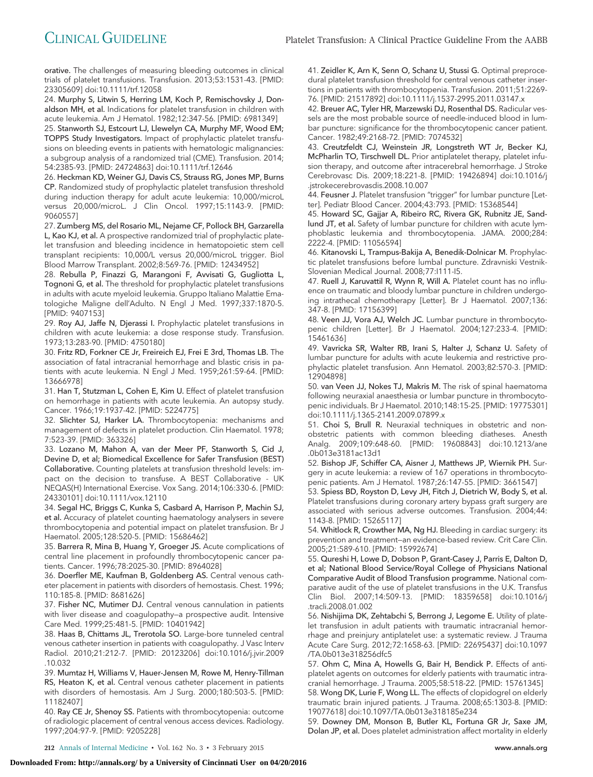orative. The challenges of measuring bleeding outcomes in clinical trials of platelet transfusions. Transfusion. 2013;53:1531-43. [PMID: 23305609] doi:10.1111/trf.12058

24. Murphy S, Litwin S, Herring LM, Koch P, Remischovsky J, Donaldson MH, et al. Indications for platelet transfusion in children with acute leukemia. Am J Hematol. 1982;12:347-56. [PMID: 6981349]

25. Stanworth SJ, Estcourt LJ, Llewelyn CA, Murphy MF, Wood EM; TOPPS Study Investigators. Impact of prophylactic platelet transfusions on bleeding events in patients with hematologic malignancies: a subgroup analysis of a randomized trial (CME). Transfusion. 2014; 54:2385-93. [PMID: 24724863] doi:10.1111/trf.12646

26. Heckman KD, Weiner GJ, Davis CS, Strauss RG, Jones MP, Burns CP. Randomized study of prophylactic platelet transfusion threshold during induction therapy for adult acute leukemia: 10,000/microL versus 20,000/microL. J Clin Oncol. 1997;15:1143-9. [PMID: 9060557]

27. Zumberg MS, del Rosario ML, Nejame CF, Pollock BH, Garzarella L, Kao KJ, et al. A prospective randomized trial of prophylactic platelet transfusion and bleeding incidence in hematopoietic stem cell transplant recipients: 10,000/L versus 20,000/microL trigger. Biol Blood Marrow Transplant. 2002;8:569-76. [PMID: 12434952]

28. Rebulla P, Finazzi G, Marangoni F, Avvisati G, Gugliotta L, Tognoni G, et al. The threshold for prophylactic platelet transfusions in adults with acute myeloid leukemia. Gruppo Italiano Malattie Ematologiche Maligne dell'Adulto. N Engl J Med. 1997;337:1870-5. [PMID: 9407153]

29. Roy AJ, Jaffe N, Djerassi I. Prophylactic platelet transfusions in children with acute leukemia: a dose response study. Transfusion. 1973;13:283-90. [PMID: 4750180]

30. Fritz RD, Forkner CE Jr, Freireich EJ, Frei E 3rd, Thomas LB. The association of fatal intracranial hemorrhage and blastic crisis in patients with acute leukemia. N Engl J Med. 1959;261:59-64. [PMID: 13666978]

31. Han T, Stutzman L, Cohen E, Kim U. Effect of platelet transfusion on hemorrhage in patients with acute leukemia. An autopsy study. Cancer. 1966;19:1937-42. [PMID: 5224775]

32. Slichter SJ, Harker LA. Thrombocytopenia: mechanisms and management of defects in platelet production. Clin Haematol. 1978; 7:523-39. [PMID: 363326]

33. Lozano M, Mahon A, van der Meer PF, Stanworth S, Cid J, Devine D, et al; Biomedical Excellence for Safer Transfusion (BEST) Collaborative. Counting platelets at transfusion threshold levels: impact on the decision to transfuse. A BEST Collaborative - UK NEQAS(H) International Exercise. Vox Sang. 2014;106:330-6. [PMID: 24330101] doi:10.1111/vox.12110

34. Segal HC, Briggs C, Kunka S, Casbard A, Harrison P, Machin SJ, et al. Accuracy of platelet counting haematology analysers in severe thrombocytopenia and potential impact on platelet transfusion. Br J Haematol. 2005;128:520-5. [PMID: 15686462]

35. Barrera R, Mina B, Huang Y, Groeger JS. Acute complications of central line placement in profoundly thrombocytopenic cancer patients. Cancer. 1996;78:2025-30. [PMID: 8964028]

36. Doerfler ME, Kaufman B, Goldenberg AS. Central venous catheter placement in patients with disorders of hemostasis. Chest. 1996; 110:185-8. [PMID: 8681626]

37. Fisher NC, Mutimer DJ. Central venous cannulation in patients with liver disease and coagulopathy—a prospective audit. Intensive Care Med. 1999;25:481-5. [PMID: 10401942]

38. Haas B, Chittams JL, Trerotola SO. Large-bore tunneled central venous catheter insertion in patients with coagulopathy. J Vasc Interv Radiol. 2010;21:212-7. [PMID: 20123206] doi:10.1016/j.jvir.2009 .10.032

39. Mumtaz H, Williams V, Hauer-Jensen M, Rowe M, Henry-Tillman RS, Heaton K, et al. Central venous catheter placement in patients with disorders of hemostasis. Am J Surg. 2000;180:503-5. [PMID: 11182407]

40. Ray CE Jr, Shenoy SS. Patients with thrombocytopenia: outcome of radiologic placement of central venous access devices. Radiology. 1997;204:97-9. [PMID: 9205228]

41. Zeidler K, Arn K, Senn O, Schanz U, Stussi G. Optimal preprocedural platelet transfusion threshold for central venous catheter insertions in patients with thrombocytopenia. Transfusion. 2011;51:2269- 76. [PMID: 21517892] doi:10.1111/j.1537-2995.2011.03147.x

42. Breuer AC, Tyler HR, Marzewski DJ, Rosenthal DS. Radicular vessels are the most probable source of needle-induced blood in lumbar puncture: significance for the thrombocytopenic cancer patient. Cancer. 1982;49:2168-72. [PMID: 7074532]

43. Creutzfeldt CJ, Weinstein JR, Longstreth WT Jr, Becker KJ, McPharlin TO, Tirschwell DL. Prior antiplatelet therapy, platelet infusion therapy, and outcome after intracerebral hemorrhage. J Stroke Cerebrovasc Dis. 2009;18:221-8. [PMID: 19426894] doi:10.1016/j .jstrokecerebrovasdis.2008.10.007

44. Feusner J. Platelet transfusion "trigger" for lumbar puncture [Letter]. Pediatr Blood Cancer. 2004;43:793. [PMID: 15368544]

45. Howard SC, Gajjar A, Ribeiro RC, Rivera GK, Rubnitz JE, Sandlund JT, et al. Safety of lumbar puncture for children with acute lymphoblastic leukemia and thrombocytopenia. JAMA. 2000;284: 2222-4. [PMID: 11056594]

46. Kitanovski L, Trampus-Bakija A, Benedik-Dolnicar M. Prophylactic platelet transfusions before lumbal puncture. Zdravniski Vestnik-Slovenian Medical Journal. 2008;77:I111-I5.

47. Ruell J, Karuvattil R, Wynn R, Will A. Platelet count has no influence on traumatic and bloody lumbar puncture in children undergoing intrathecal chemotherapy [Letter]. Br J Haematol. 2007;136: 347-8. [PMID: 17156399]

48. Veen JJ, Vora AJ, Welch JC. Lumbar puncture in thrombocytopenic children [Letter]. Br J Haematol. 2004;127:233-4. [PMID: 15461636]

49. Vavricka SR, Walter RB, Irani S, Halter J, Schanz U. Safety of lumbar puncture for adults with acute leukemia and restrictive prophylactic platelet transfusion. Ann Hematol. 2003;82:570-3. [PMID: 12904898]

50. van Veen JJ, Nokes TJ, Makris M. The risk of spinal haematoma following neuraxial anaesthesia or lumbar puncture in thrombocytopenic individuals. Br J Haematol. 2010;148:15-25. [PMID: 19775301] doi:10.1111/j.1365-2141.2009.07899.x

51. Choi S, Brull R. Neuraxial techniques in obstetric and nonobstetric patients with common bleeding diatheses. Anesth Analg. 2009;109:648-60. [PMID: 19608843] doi:10.1213/ane .0b013e3181ac13d1

52. Bishop JF, Schiffer CA, Aisner J, Matthews JP, Wiernik PH. Surgery in acute leukemia: a review of 167 operations in thrombocytopenic patients. Am J Hematol. 1987;26:147-55. [PMID: 3661547]

53. Spiess BD, Royston D, Levy JH, Fitch J, Dietrich W, Body S, et al. Platelet transfusions during coronary artery bypass graft surgery are associated with serious adverse outcomes. Transfusion. 2004;44: 1143-8. [PMID: 15265117]

54. Whitlock R, Crowther MA, Ng HJ. Bleeding in cardiac surgery: its prevention and treatment—an evidence-based review. Crit Care Clin. 2005;21:589-610. [PMID: 15992674]

55. Qureshi H, Lowe D, Dobson P, Grant-Casey J, Parris E, Dalton D, et al; National Blood Service/Royal College of Physicians National Comparative Audit of Blood Transfusion programme. National comparative audit of the use of platelet transfusions in the U.K. Transfus Clin Biol. 2007;14:509-13. [PMID: 18359658] doi:10.1016/j .tracli.2008.01.002

56. Nishijima DK, Zehtabchi S, Berrong J, Legome E. Utility of platelet transfusion in adult patients with traumatic intracranial hemorrhage and preinjury antiplatelet use: a systematic review. J Trauma Acute Care Surg. 2012;72:1658-63. [PMID: 22695437] doi:10.1097 /TA.0b013e318256dfc5

57. Ohm C, Mina A, Howells G, Bair H, Bendick P. Effects of antiplatelet agents on outcomes for elderly patients with traumatic intracranial hemorrhage. J Trauma. 2005;58:518-22. [PMID: 15761345]

58. Wong DK, Lurie F, Wong LL. The effects of clopidogrel on elderly traumatic brain injured patients. J Trauma. 2008;65:1303-8. [PMID: 19077618] doi:10.1097/TA.0b013e318185e234

59. Downey DM, Monson B, Butler KL, Fortuna GR Jr, Saxe JM, Dolan JP, et al. Does platelet administration affect mortality in elderly

**212** Annals of Internal Medicine • Vol. 162 No. 3 • 3 February 2015 www.annals.org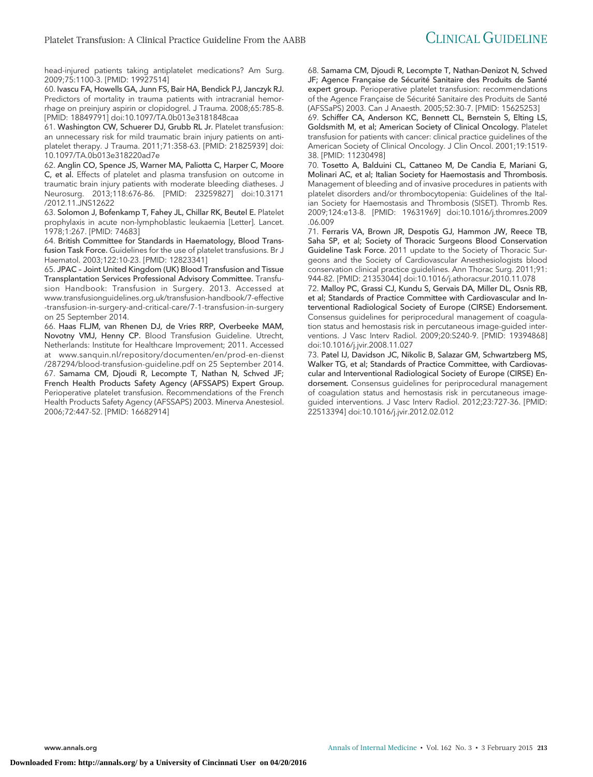head-injured patients taking antiplatelet medications? Am Surg. 2009;75:1100-3. [PMID: 19927514]

60. Ivascu FA, Howells GA, Junn FS, Bair HA, Bendick PJ, Janczyk RJ. Predictors of mortality in trauma patients with intracranial hemorrhage on preinjury aspirin or clopidogrel. J Trauma. 2008;65:785-8. [PMID: 18849791] doi:10.1097/TA.0b013e3181848caa

61. Washington CW, Schuerer DJ, Grubb RL Jr. Platelet transfusion: an unnecessary risk for mild traumatic brain injury patients on antiplatelet therapy. J Trauma. 2011;71:358-63. [PMID: 21825939] doi: 10.1097/TA.0b013e318220ad7e

62. Anglin CO, Spence JS, Warner MA, Paliotta C, Harper C, Moore C, et al. Effects of platelet and plasma transfusion on outcome in traumatic brain injury patients with moderate bleeding diatheses. J Neurosurg. 2013;118:676-86. [PMID: 23259827] doi:10.3171 /2012.11.JNS12622

63. Solomon J, Bofenkamp T, Fahey JL, Chillar RK, Beutel E. Platelet prophylaxis in acute non-lymphoblastic leukaemia [Letter]. Lancet. 1978;1:267. [PMID: 74683]

64. British Committee for Standards in Haematology, Blood Transfusion Task Force. Guidelines for the use of platelet transfusions. Br J Haematol. 2003;122:10-23. [PMID: 12823341]

65. JPAC – Joint United Kingdom (UK) Blood Transfusion and Tissue Transplantation Services Professional Advisory Committee. Transfusion Handbook: Transfusion in Surgery. 2013. Accessed at [www.transfusionguidelines.org.uk/transfusion-handbook/7-effective](http://www.transfusionguidelines.org.uk/transfusion-handbook/7-effective-transfusion-in-surgery-and-critical-care/7-1-transfusion-in-surgery) [-transfusion-in-surgery-and-critical-care/7-1-transfusion-in-surgery](http://www.transfusionguidelines.org.uk/transfusion-handbook/7-effective-transfusion-in-surgery-and-critical-care/7-1-transfusion-in-surgery) on 25 September 2014.

66. Haas FLJM, van Rhenen DJ, de Vries RRP, Overbeeke MAM, Novotny VMJ, Henny CP. Blood Transfusion Guideline. Utrecht, Netherlands: Institute for Healthcare Improvement; 2011. Accessed at [www.sanquin.nl/repository/documenten/en/prod-en-dienst](http://www.sanquin.nl/repository/documenten/en/prod-en-dienst/287294/blood-transfusion-guideline.pdf) [/287294/blood-transfusion-guideline.pdf](http://www.sanquin.nl/repository/documenten/en/prod-en-dienst/287294/blood-transfusion-guideline.pdf) on 25 September 2014. 67. Samama CM, Djoudi R, Lecompte T, Nathan N, Schved JF; French Health Products Safety Agency (AFSSAPS) Expert Group. Perioperative platelet transfusion. Recommendations of the French Health Products Safety Agency (AFSSAPS) 2003. Minerva Anestesiol. 2006;72:447-52. [PMID: 16682914]

68. Samama CM, Djoudi R, Lecompte T, Nathan-Denizot N, Schved JF; Agence Française de Sécurité Sanitaire des Produits de Santé expert group. Perioperative platelet transfusion: recommendations of the Agence Française de Sécurité Sanitaire des Produits de Santé (AFSSaPS) 2003. Can J Anaesth. 2005;52:30-7. [PMID: 15625253]

69. Schiffer CA, Anderson KC, Bennett CL, Bernstein S, Elting LS, Goldsmith M, et al; American Society of Clinical Oncology. Platelet transfusion for patients with cancer: clinical practice guidelines of the American Society of Clinical Oncology. J Clin Oncol. 2001;19:1519- 38. [PMID: 11230498]

70. Tosetto A, Balduini CL, Cattaneo M, De Candia E, Mariani G, Molinari AC, et al; Italian Society for Haemostasis and Thrombosis. Management of bleeding and of invasive procedures in patients with platelet disorders and/or thrombocytopenia: Guidelines of the Italian Society for Haemostasis and Thrombosis (SISET). Thromb Res. 2009;124:e13-8. [PMID: 19631969] doi:10.1016/j.thromres.2009 .06.009

71. Ferraris VA, Brown JR, Despotis GJ, Hammon JW, Reece TB, Saha SP, et al; Society of Thoracic Surgeons Blood Conservation Guideline Task Force. 2011 update to the Society of Thoracic Surgeons and the Society of Cardiovascular Anesthesiologists blood conservation clinical practice guidelines. Ann Thorac Surg. 2011;91: 944-82. [PMID: 21353044] doi:10.1016/j.athoracsur.2010.11.078

72. Malloy PC, Grassi CJ, Kundu S, Gervais DA, Miller DL, Osnis RB, et al; Standards of Practice Committee with Cardiovascular and Interventional Radiological Society of Europe (CIRSE) Endorsement. Consensus guidelines for periprocedural management of coagulation status and hemostasis risk in percutaneous image-guided interventions. J Vasc Interv Radiol. 2009;20:S240-9. [PMID: 19394868] doi:10.1016/j.jvir.2008.11.027

73. Patel IJ, Davidson JC, Nikolic B, Salazar GM, Schwartzberg MS, Walker TG, et al; Standards of Practice Committee, with Cardiovascular and Interventional Radiological Society of Europe (CIRSE) Endorsement. Consensus guidelines for periprocedural management of coagulation status and hemostasis risk in percutaneous imageguided interventions. J Vasc Interv Radiol. 2012;23:727-36. [PMID: 22513394] doi:10.1016/j.jvir.2012.02.012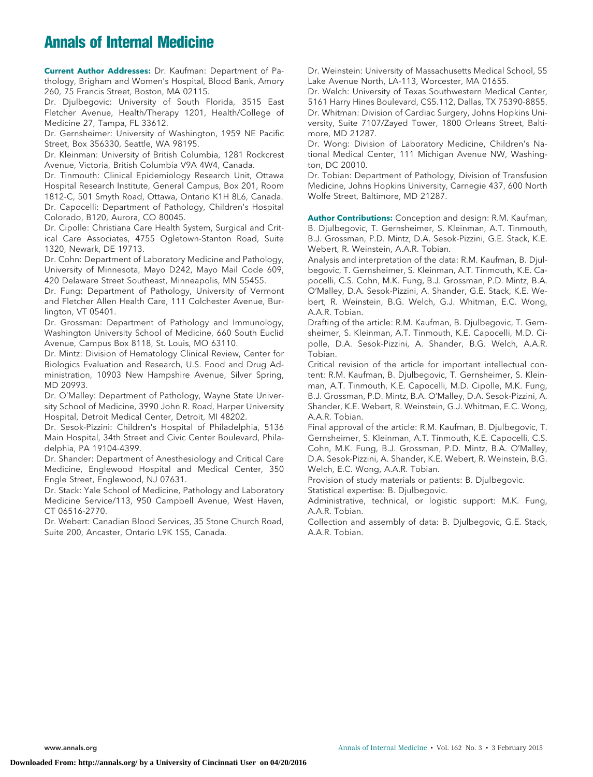# **Annals of Internal Medicine**

**Current Author Addresses:** Dr. Kaufman: Department of Pathology, Brigham and Women's Hospital, Blood Bank, Amory 260, 75 Francis Street, Boston, MA 02115.

Dr. Djulbegovic: University of South Florida, 3515 East Fletcher Avenue, Health/Therapy 1201, Health/College of Medicine 27, Tampa, FL 33612.

Dr. Gernsheimer: University of Washington, 1959 NE Pacific Street, Box 356330, Seattle, WA 98195.

Dr. Kleinman: University of British Columbia, 1281 Rockcrest Avenue, Victoria, British Columbia V9A 4W4, Canada.

Dr. Tinmouth: Clinical Epidemiology Research Unit, Ottawa Hospital Research Institute, General Campus, Box 201, Room 1812-C, 501 Smyth Road, Ottawa, Ontario K1H 8L6, Canada. Dr. Capocelli: Department of Pathology, Children's Hospital Colorado, B120, Aurora, CO 80045.

Dr. Cipolle: Christiana Care Health System, Surgical and Critical Care Associates, 4755 Ogletown-Stanton Road, Suite 1320, Newark, DE 19713.

Dr. Cohn: Department of Laboratory Medicine and Pathology, University of Minnesota, Mayo D242, Mayo Mail Code 609, 420 Delaware Street Southeast, Minneapolis, MN 55455.

Dr. Fung: Department of Pathology, University of Vermont and Fletcher Allen Health Care, 111 Colchester Avenue, Burlington, VT 05401.

Dr. Grossman: Department of Pathology and Immunology, Washington University School of Medicine, 660 South Euclid Avenue, Campus Box 8118, St. Louis, MO 63110.

Dr. Mintz: Division of Hematology Clinical Review, Center for Biologics Evaluation and Research, U.S. Food and Drug Administration, 10903 New Hampshire Avenue, Silver Spring, MD 20993.

Dr. O'Malley: Department of Pathology, Wayne State University School of Medicine, 3990 John R. Road, Harper University Hospital, Detroit Medical Center, Detroit, MI 48202.

Dr. Sesok-Pizzini: Children's Hospital of Philadelphia, 5136 Main Hospital, 34th Street and Civic Center Boulevard, Philadelphia, PA 19104-4399.

Dr. Shander: Department of Anesthesiology and Critical Care Medicine, Englewood Hospital and Medical Center, 350 Engle Street, Englewood, NJ 07631.

Dr. Stack: Yale School of Medicine, Pathology and Laboratory Medicine Service/113, 950 Campbell Avenue, West Haven, CT 06516-2770.

Dr. Webert: Canadian Blood Services, 35 Stone Church Road, Suite 200, Ancaster, Ontario L9K 1S5, Canada.

Dr. Weinstein: University of Massachusetts Medical School, 55 Lake Avenue North, LA-113, Worcester, MA 01655.

Dr. Welch: University of Texas Southwestern Medical Center, 5161 Harry Hines Boulevard, CS5.112, Dallas, TX 75390-8855. Dr. Whitman: Division of Cardiac Surgery, Johns Hopkins University, Suite 7107/Zayed Tower, 1800 Orleans Street, Baltimore, MD 21287.

Dr. Wong: Division of Laboratory Medicine, Children's National Medical Center, 111 Michigan Avenue NW, Washington, DC 20010.

Dr. Tobian: Department of Pathology, Division of Transfusion Medicine, Johns Hopkins University, Carnegie 437, 600 North Wolfe Street, Baltimore, MD 21287.

**Author Contributions:** Conception and design: R.M. Kaufman, B. Djulbegovic, T. Gernsheimer, S. Kleinman, A.T. Tinmouth, B.J. Grossman, P.D. Mintz, D.A. Sesok-Pizzini, G.E. Stack, K.E. Webert, R. Weinstein, A.A.R. Tobian.

Analysis and interpretation of the data: R.M. Kaufman, B. Djulbegovic, T. Gernsheimer, S. Kleinman, A.T. Tinmouth, K.E. Capocelli, C.S. Cohn, M.K. Fung, B.J. Grossman, P.D. Mintz, B.A. O'Malley, D.A. Sesok-Pizzini, A. Shander, G.E. Stack, K.E. Webert, R. Weinstein, B.G. Welch, G.J. Whitman, E.C. Wong, A.A.R. Tobian.

Drafting of the article: R.M. Kaufman, B. Djulbegovic, T. Gernsheimer, S. Kleinman, A.T. Tinmouth, K.E. Capocelli, M.D. Cipolle, D.A. Sesok-Pizzini, A. Shander, B.G. Welch, A.A.R. Tobian.

Critical revision of the article for important intellectual content: R.M. Kaufman, B. Djulbegovic, T. Gernsheimer, S. Kleinman, A.T. Tinmouth, K.E. Capocelli, M.D. Cipolle, M.K. Fung, B.J. Grossman, P.D. Mintz, B.A. O'Malley, D.A. Sesok-Pizzini, A. Shander, K.E. Webert, R. Weinstein, G.J. Whitman, E.C. Wong, A.A.R. Tobian.

Final approval of the article: R.M. Kaufman, B. Djulbegovic, T. Gernsheimer, S. Kleinman, A.T. Tinmouth, K.E. Capocelli, C.S. Cohn, M.K. Fung, B.J. Grossman, P.D. Mintz, B.A. O'Malley, D.A. Sesok-Pizzini, A. Shander, K.E. Webert, R. Weinstein, B.G. Welch, E.C. Wong, A.A.R. Tobian.

Provision of study materials or patients: B. Djulbegovic.

Statistical expertise: B. Djulbegovic.

Administrative, technical, or logistic support: M.K. Fung, A.A.R. Tobian.

Collection and assembly of data: B. Djulbegovic, G.E. Stack, A.A.R. Tobian.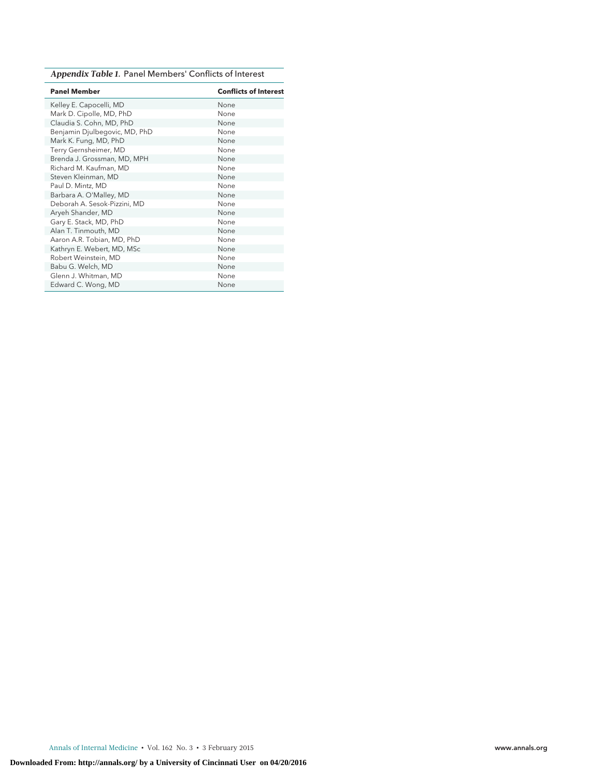### *Appendix Table 1.* Panel Members' Conflicts of Interest

| <b>Panel Member</b>           | <b>Conflicts of Interest</b> |
|-------------------------------|------------------------------|
| Kelley E. Capocelli, MD       | None                         |
| Mark D. Cipolle, MD, PhD      | None                         |
| Claudia S. Cohn, MD, PhD      | None                         |
| Benjamin Djulbegovic, MD, PhD | None                         |
| Mark K. Fung, MD, PhD         | None                         |
| Terry Gernsheimer, MD         | None                         |
| Brenda J. Grossman, MD, MPH   | None                         |
| Richard M. Kaufman, MD        | None                         |
| Steven Kleinman, MD           | None                         |
| Paul D. Mintz, MD             | None                         |
| Barbara A. O'Malley, MD       | None                         |
| Deborah A. Sesok-Pizzini, MD  | None                         |
| Aryeh Shander, MD             | None                         |
| Gary E. Stack, MD, PhD        | None                         |
| Alan T. Tinmouth, MD          | None                         |
| Aaron A.R. Tobian, MD, PhD    | None                         |
| Kathryn E. Webert, MD, MSc    | None                         |
| Robert Weinstein, MD          | None                         |
| Babu G. Welch, MD             | None                         |
| Glenn J. Whitman, MD          | None                         |
| Edward C. Wong, MD            | None                         |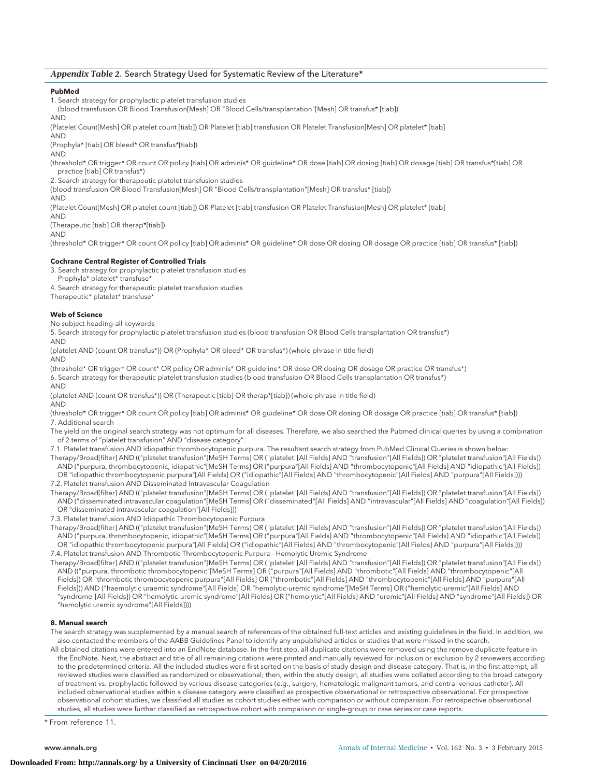#### *Appendix Table 2.* Search Strategy Used for Systematic Review of the Literature\*

#### **PubMed**

1. Search strategy for prophylactic platelet transfusion studies

(blood transfusion OR Blood Transfusion[Mesh] OR "Blood Cells/transplantation"[Mesh] OR transfus\* [tiab])

AND

(Platelet Count[Mesh] OR platelet count [tiab]) OR Platelet [tiab] transfusion OR Platelet Transfusion[Mesh] OR platelet\* [tiab]

AND

(Prophyla\* [tiab] OR bleed\* OR transfus\*[tiab])

AND

(threshold\* OR trigger\* OR count OR policy [tiab] OR adminis\* OR guideline\* OR dose [tiab] OR dosing [tiab] OR dosage [tiab] OR transfus\*[tiab] OR practice [tiab] OR transfus\*)

2. Search strategy for therapeutic platelet transfusion studies

(blood transfusion OR Blood Transfusion[Mesh] OR "Blood Cells/transplantation"[Mesh] OR transfus\* [tiab])

AND

(Platelet Count[Mesh] OR platelet count [tiab]) OR Platelet [tiab] transfusion OR Platelet Transfusion[Mesh] OR platelet\* [tiab]

AND

(Therapeutic [tiab] OR therap\*[tiab])

AND

(threshold\* OR trigger\* OR count OR policy [tiab] OR adminis\* OR guideline\* OR dose OR dosing OR dosage OR practice [tiab] OR transfus\* [tiab])

#### **Cochrane Central Register of Controlled Trials**

3. Search strategy for prophylactic platelet transfusion studies

Prophyla\* platelet\* transfuse\*

4. Search strategy for therapeutic platelet transfusion studies

Therapeutic\* platelet\* transfuse\*

#### **Web of Science**

No subject heading-all keywords

5. Search strategy for prophylactic platelet transfusion studies (blood transfusion OR Blood Cells transplantation OR transfus\*)

AND

(platelet AND (count OR transfus\*)) OR (Prophyla\* OR bleed\* OR transfus\*) (whole phrase in title field)

AND

(threshold\* OR trigger\* OR count\* OR policy OR adminis\* OR guideline\* OR dose OR dosing OR dosage OR practice OR transfus\*) 6. Search strategy for therapeutic platelet transfusion studies (blood transfusion OR Blood Cells transplantation OR transfus\*) AND

(platelet AND (count OR transfus\*)) OR (Therapeutic [tiab] OR therap\*[tiab]) (whole phrase in title field)

AND

(threshold\* OR trigger\* OR count OR policy [tiab] OR adminis\* OR guideline\* OR dose OR dosing OR dosage OR practice [tiab] OR transfus\* [tiab]) 7. Additional search

The yield on the original search strategy was not optimum for all diseases. Therefore, we also searched the Pubmed clinical queries by using a combination of 2 terms of "platelet transfusion" AND "disease category".

7.1. Platelet transfusion AND idiopathic thrombocytopenic purpura. The resultant search strategy from PubMed Clinical Queries is shown below:

Therapy/Broad[filter] AND (("platelet transfusion"[MeSH Terms] OR ("platelet"[All Fields] AND "transfusion"[All Fields]) OR "platelet transfusion"[All Fields]) AND ("purpura, thrombocytopenic, idiopathic"[MeSH Terms] OR ("purpura"[All Fields] AND "thrombocytopenic"[All Fields] AND "idiopathic"[All Fields]) OR "idiopathic thrombocytopenic purpura"[All Fields] OR ("idiopathic"[All Fields] AND "thrombocytopenic"[All Fields] AND "purpura"[All Fields]))) 7.2. Platelet transfusion AND Disseminated Intravascular Coagulation

Therapy/Broad[filter] AND (("platelet transfusion"[MeSH Terms] OR ("platelet"[All Fields] AND "transfusion"[All Fields]) OR "platelet transfusion"[All Fields]) AND ("disseminated intravascular coagulation"[MeSH Terms] OR ("disseminated"[All Fields] AND "intravascular"[All Fields] AND "coagulation"[All Fields]) OR "disseminated intravascular coagulation"[All Fields]))

7.3. Platelet transfusion AND Idiopathic Thrombocytopenic Purpura

Therapy/Broad[filter] AND (("platelet transfusion"[MeSH Terms] OR ("platelet"[All Fields] AND "transfusion"[All Fields]) OR "platelet transfusion"[All Fields]) AND ("purpura, thrombocytopenic, idiopathic"[MeSH Terms] OR ("purpura"[All Fields] AND "thrombocytopenic"[All Fields] AND "idiopathic"[All Fields]) OR "idiopathic thrombocytopenic purpura"[All Fields] OR ("idiopathic"[All Fields] AND "thrombocytopenic"[All Fields] AND "purpura"[All Fields]))) 7.4. Platelet transfusion AND Thrombotic Thrombocytopenic Purpura - Hemolytic Uremic Syndrome

Therapy/Broad[filter] AND (("platelet transfusion"[MeSH Terms] OR ("platelet"[All Fields] AND "transfusion"[All Fields]) OR "platelet transfusion"[All Fields]) AND (("purpura, thrombotic thrombocytopenic"[MeSH Terms] OR ("purpura"[All Fields] AND "thrombotic"[All Fields] AND "thrombocytopenic"[All Fields]) OR "thrombotic thrombocytopenic purpura"[All Fields] OR ("thrombotic"[All Fields] AND "thrombocytopenic"[All Fields] AND "purpura"[All Fields])) AND ("haemolytic uraemic syndrome"[All Fields] OR "hemolytic-uremic syndrome"[MeSH Terms] OR ("hemolytic-uremic"[All Fields] AND "syndrome"[All Fields]) OR "hemolytic-uremic syndrome"[All Fields] OR ("hemolytic"[All Fields] AND "uremic"[All Fields] AND "syndrome"[All Fields]) OR "hemolytic uremic syndrome"[All Fields])))

#### **8. Manual search**

The search strategy was supplemented by a manual search of references of the obtained full-text articles and existing guidelines in the field. In addition, we also contacted the members of the AABB Guidelines Panel to identify any unpublished articles or studies that were missed in the search.

All obtained citations were entered into an EndNote database. In the first step, all duplicate citations were removed using the remove duplicate feature in the EndNote. Next, the abstract and title of all remaining citations were printed and manually reviewed for inclusion or exclusion by 2 reviewers according to the predetermined criteria. All the included studies were first sorted on the basis of study design and disease category. That is, in the first attempt, all reviewed studies were classified as randomized or observational; then, within the study design, all studies were collated according to the broad category of treatment vs. prophylactic followed by various disease categories (e.g., surgery, hematologic malignant tumors, and central venous catheter). All included observational studies within a disease category were classified as prospective observational or retrospective observational. For prospective observational cohort studies, we classified all studies as cohort studies either with comparison or without comparison. For retrospective observational studies, all studies were further classified as retrospective cohort with comparison or single-group or case series or case reports.

\* From reference 11.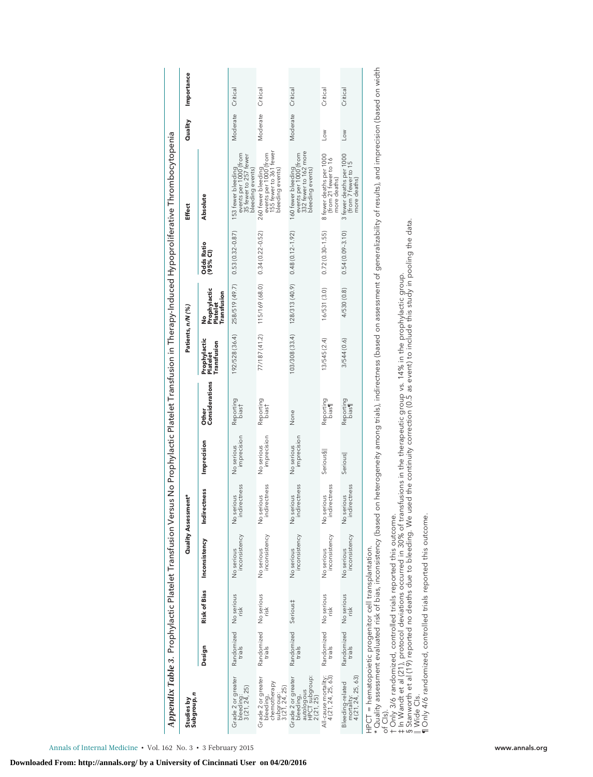|                                                                                                                            |                               |                      |                             |                            |                                  |                                |                                         |                                         |                                 | Appendix Table 3. Prophylactic Platelet Transfusion Versus No Prophylactic Platelet Transfusion in Therapy-Induced Hypoproliferative Thrombocytopenia |            |                   |
|----------------------------------------------------------------------------------------------------------------------------|-------------------------------|----------------------|-----------------------------|----------------------------|----------------------------------|--------------------------------|-----------------------------------------|-----------------------------------------|---------------------------------|-------------------------------------------------------------------------------------------------------------------------------------------------------|------------|-------------------|
| Studies by<br>Subgroup, <i>n</i>                                                                                           |                               |                      | Quality Assess              | ment*                      |                                  |                                | Patients, n/N (%)                       |                                         |                                 | Effect                                                                                                                                                | Quality    | <b>Importance</b> |
|                                                                                                                            | Design                        | <b>Risk of Bias</b>  | Inconsistency               | ectness<br>İ               | Imprecision                      | Considerations<br><b>Othe</b>  | Prophylactic<br>Transfusion<br>Platelet | Prophylactic<br>Platelet<br>Transfusion | <b>Odds Ratio</b><br>(95% CI)   | Absolute                                                                                                                                              |            |                   |
| Grade 2 or greater<br>bleeding:<br>3 (21, 24, 25)                                                                          | Randomized<br>trials          | No serious           | inconsistency<br>No serious | indirectness<br>No serious | <b>Imprecision</b><br>No serious | Reporting                      | 192/528 (36.4)                          |                                         | 258/519 (49.7) 0.53 (0.32-0.87) | events per 1000 (from<br>35 fewer to 257 fewer<br>153 fewer bleeding<br>bleeding events)                                                              | Moderate   | Critical          |
| Grade 2 or greater<br>chemotherapy<br>subgroup:<br>3 (21, 24, 25)<br>bleeding,                                             | Randomized<br>trials          | No serious<br>risk   | inconsistency<br>No serious | indirectness<br>No serious | imprecision<br>No serious        | Reporting<br>bias <sup>-</sup> | 77/187 (41.2)                           | 115/169 (68.0)                          | $0.34(0.22 - 0.52)$             | 155 fewer to 361 fewer<br>events per 1000 (from<br>260 fewer bleeding<br>bleeding events                                                              | Moderate   | Critical          |
| autologous<br>HPCT subgroup:<br>2 (21, 25)<br>Grade 2 or greater<br>bleeding,                                              | Randomized Serious#<br>trials |                      | nconsistency<br>No serious  | indirectness<br>No serious | <b>Imprecision</b><br>No serious | None                           |                                         | $103/308(33.4)$ $128/313(40.9)$         | $0.48(0.12 - 1.92)$             | 332 fewer to 162 more<br>events per 1000 (from<br>160 fewer bleeding<br>bleeding events                                                               | Moderate   | Critical          |
| All-cause mortality:<br>4 (21, 24, 25, 63)                                                                                 | Randomized<br>trials          | No serious<br>isk    | inconsistency<br>No serious | indirectness<br>No serious | Serious§                         | Reporting<br>bias <sup>1</sup> | 13/545(2.4)                             | 16/531 (3.0)                            | $0.72(0.30 - 1.55)$             | 8 fewer deaths per 1000<br>(from 21 fewer to 16<br>more deaths)                                                                                       | <b>NOT</b> | Critical          |
| mortality:<br>4 (21, 24, 25, 63)<br>Bleeding-related                                                                       | Randomized<br>trials          | No serious<br>$1$ SK | inconsistency<br>No serious | indirectness<br>No serious | Serious                          | Reporting<br>bias <sup>4</sup> | 3/544(0.6)                              | 4/530 (0.8)                             | $0.54(0.09 - 3.10)$             | 3 fewer deaths per 1000<br>(from 7 fewer to 15<br>more deaths.                                                                                        | Low        | Critical          |
| * Quality assessment evaluated risk of bias, inconsistency (based<br>HPCT = hematopoietic progenitor cell transplantation. |                               |                      |                             |                            |                                  |                                |                                         |                                         |                                 | on heterogeneity among trials), indirectness (based on assessment of generalizability of results), and imprecision (based on width                    |            |                   |

† Only 3/6 randomized, controlled trials reported this outcome.

of CIs). -‡ In Wandt et al (21), protocol deviations occurred in 30% of transfusions in the therapeutic group vs. 14% in the prophylactic group.

§ Stanworth et al (19) reported no deaths due to bleeding. We used the continuity correction (0.5 as event) to include this study in pooling the data.

 Wide CIs. ¶ Only 4/6 randomized, controlled trials reported this outcome.

**Downloaded From: http://annals.org/ by a University of Cincinnati User on 04/20/2016**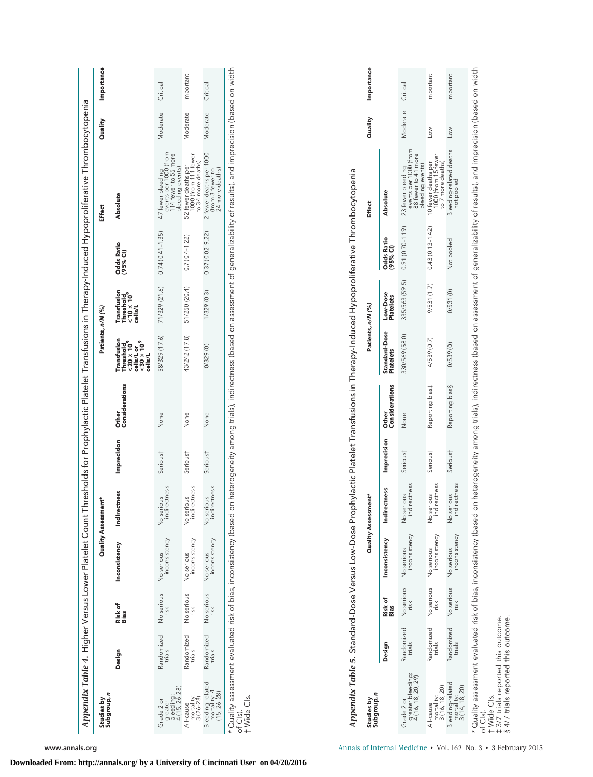| Studies by<br>Subgroup, n                                                                    |                      |                    |                             | Quality Assessment*            |             |                         | Patients, n/N (%)                                                                                            |                                                              |                        | Effect                                                                                                                             | Quality  | Importance |
|----------------------------------------------------------------------------------------------|----------------------|--------------------|-----------------------------|--------------------------------|-------------|-------------------------|--------------------------------------------------------------------------------------------------------------|--------------------------------------------------------------|------------------------|------------------------------------------------------------------------------------------------------------------------------------|----------|------------|
|                                                                                              | Design               | Risk of<br>Bias    | Inconsistency               | Indirectness                   | Imprecision | Other<br>Considerations | Transfusion<br>Threshold<br>$<$ 20 $\times$ 10 <sup>9</sup><br>cells/Lor<br><30 × 10 <sup>9</sup><br>cells/L | Transfusion<br>Threshold<br><10 × 10 <sup>9</sup><br>cells/L | Odds Ratio<br>(95% CI) | Absolute                                                                                                                           |          |            |
| greater<br>bleeding:<br>4 (15, 26-28)<br>Grade 2 or                                          | Randomized<br>trials | No serious<br>risk | inconsistency<br>No serious | indirectness<br>No serious     | Serious†    | None                    |                                                                                                              | 58/329 (17.6) 71/329 (21.6)                                  | $0.74(0.41 - 1.35)$    | 47 fewer bleeding<br>events per 1000 (from<br>114 fewer to 55 more<br>bleeding events)                                             | Moderate | Critical   |
| mortality:<br>3 (26-28)<br>All-cause                                                         | Randomized<br>trials | No serious<br>risk | inconsistency<br>No serious | indirectness<br>No serious     | Serious†    | None                    | 43/242 (17.8)                                                                                                | 51/250 (20.4)                                                | $0.7(0.4 - 1.22)$      | 1000 (from 111 fewer<br>to 34 more deaths)<br>52 fewer deaths per                                                                  | Moderate | Important  |
| Bleeding-related<br>mortality: 4<br>$(15, 26 - 28)$                                          | Randomized<br>trials | No serious<br>risk | inconsistency<br>No serious | rectness<br>No serious<br>İndi | Serious†    | None                    | 0/329 (0)                                                                                                    | 1/329(0.3)                                                   | $0.37(0.02 - 9.22)$    | 2 fewer deaths per 1000<br>24 more deaths)<br>(from 3 fewer to                                                                     | Moderate | Critical   |
| * Quality assessment evaluated risk of bias, inconsistency (based<br>t Wide Cls.<br>of Cls). |                      |                    |                             |                                |             |                         |                                                                                                              |                                                              |                        | on heterogeneity among trials), indirectness (based on assessment of generalizability of results), and imprecision (based on width |          |            |

| Ó<br>$\frac{1}{2}$<br>Ó<br>ı<br>l<br>j<br>l<br>¢<br>3<br>l<br>l<br>¢<br>Ï<br>Ś<br>į<br>i |
|------------------------------------------------------------------------------------------|
| í<br>1<br>l<br>ł                                                                         |
| I<br>l<br>١<br>ׇ֖֖֚֚֚֚֚֬֕<br>í                                                           |
| Jose<br>I<br>l<br>)<br>}<br>}<br>ı<br>1<br>¢<br>I                                        |
| 1<br>I<br>ì<br>5<br>í<br>)<br>=<br>S<br>í<br>٦<br>5<br>ı                                 |
| $\frac{1}{2}$<br>١<br>I<br>í<br>i<br>ı<br>d                                              |

| Studies by<br>Subgroup, <i>n</i>                                                                      |                                 |                    |                             | Quality Assessment*        |             |                         | Patients, n/N (%)                        |                       |                                 | <b>Effect</b>                                                                                                                                                                                        | Quality    | Importance |
|-------------------------------------------------------------------------------------------------------|---------------------------------|--------------------|-----------------------------|----------------------------|-------------|-------------------------|------------------------------------------|-----------------------|---------------------------------|------------------------------------------------------------------------------------------------------------------------------------------------------------------------------------------------------|------------|------------|
|                                                                                                       | Design                          | Risk of<br>Bias    | Inconsistency               | ectness<br>İndir           | Imprecision | Other<br>Considerations | <b>Standard-Dose</b><br><b>Platelets</b> | Low-Dose<br>Platelets | Odds Ratio<br>(95% CI)          | Absolute                                                                                                                                                                                             |            |            |
| greater bleeding:<br>4 (16, 18, 20, 29)<br>Grade 2 or                                                 | Randomized No serious<br>trials |                    | inconsistency<br>No serious | indirectness<br>No serious | Serious†    | None                    | 330/569 (58.0)                           |                       | 335/563 (59.5) 0.91 (0.70-1.19) | 23 fewer bleeding<br>events per 1000 (from<br>88 fewer to 41 more<br>bleeding events)                                                                                                                | Moderate   | Critical   |
| mortality:<br>3 (16, 18, 20)<br>All-cause                                                             | Randomized<br>trials            | No serious<br>risk | nconsistency<br>No serious  | indirectness<br>No serious | Serious†    | Reporting bias‡         | 4/539 (0.7)                              | 9/531 (1.7)           | $0.43(0.13 - 1.42)$             | 10 fewer deaths per<br>1000 (from 15 fewer<br>to 7 more deaths)                                                                                                                                      | Low        | Important  |
| Bleeding-related<br>mortality:<br>3 (14, 18, 20)                                                      | Randomized<br>trials            | No serious<br>risk | inconsistency<br>No serious | indirectness<br>No serious | Serious†    | Reporting bias§         | 0/539 (0)                                | 0/531(0)              | Not pooled                      | Bleeding-related deaths<br>not pooled                                                                                                                                                                | <b>Low</b> | Important  |
| # 3/7 trials reported this outcome.<br>§ 4/7 trials reported this outcome.<br>t Wide Cls.<br>of Cls). |                                 |                    |                             |                            |             |                         |                                          |                       |                                 | * Quality assessment evaluated risk of bias, inconsistency (based on heterogeneity among trials), indirectness (based on assessment of generalizability of results), and imprecision (based on width |            |            |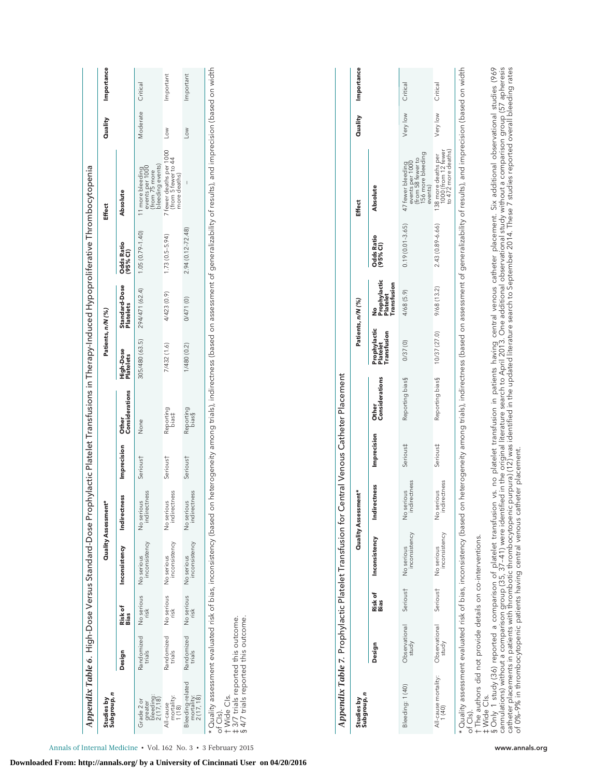| Studies by<br>Subgroup, <i>n</i>                                                             |                                 |                                          |                             | Quality Assessment*                    |             |                         |                        | Patients, n/N (%)                 |                        | <b>Effect</b>                                                                                                                      | Quality    | Importance |
|----------------------------------------------------------------------------------------------|---------------------------------|------------------------------------------|-----------------------------|----------------------------------------|-------------|-------------------------|------------------------|-----------------------------------|------------------------|------------------------------------------------------------------------------------------------------------------------------------|------------|------------|
|                                                                                              | Design                          | Risk of<br>Bias                          | Inconsistency               | <b>Indirectness</b>                    | Imprecision | Other<br>Considerations | High-Dose<br>Platelets | Standard-Dose<br><b>Platelets</b> | Odds Ratio<br>(95% CI) | Absolute                                                                                                                           |            |            |
| greater<br>bleeding:<br>2 (17,18)<br>Grade 2 or                                              | trials                          | Randomized No serious No serious<br>risk | inconsistency               | indirectness<br>No serious             | Serious†    | None                    |                        | 305/480 (63.5) 294/471 (62.4)     | $1.05(0.79 - 1.40)$    | bleeding events)<br>events per 1000<br>11 more bleeding<br>(from 75 more                                                           | Moderate   | Critical   |
| mortality:<br>1 (18)<br>All-cause                                                            | Randomized<br>trials            | No serious<br>risk                       | inconsistency<br>No serious | indirectness<br>No serious             | Serious†    | Reporting<br>bias‡      | 7/432 (1.6)            | 4/423 (0.9)                       | $1.73(0.5-5.94)$       | 7 fewer deaths per 1000<br>(from 5 fewer to 44<br>more deaths)                                                                     | <b>NOT</b> | Important  |
| Bleeding-related<br>mortality:<br>2 (17, 18)                                                 | Randomized No serious<br>trials |                                          | inconsistency<br>No serious | <b>Irectness</b><br>No serious<br>İndi | Serious†    | Reporting<br>bias§      | 1/480 (0.2)            | 0/471(0)                          | $2.94(0.12 - 72.48)$   |                                                                                                                                    | Low        | Important  |
| * Quality assessment evaluated risk of bias, inconsistency (based<br>t Wide Cls.<br>of Cls). |                                 |                                          |                             |                                        |             |                         |                        |                                   |                        | on heterogeneity among trials), indirectness (based on assessment of generalizability of results), and imprecision (based on width |            |            |

+ 377 trials reported this outcome.<br>\$ 477 trials reported this outcome. ‡ 3/7 trials reported this outcome.

§ 4/7 trials reported this outcome.

| Annals of Internal Medicine • Vol. 162 No. 3 • 3 February 2015 |  |  |
|----------------------------------------------------------------|--|--|
|----------------------------------------------------------------|--|--|

‡ Wide CIs.

www.annals.org

|                                                                                           | Quality Importance               |                                              | Critical                                                                                                        | Critical                                                          |
|-------------------------------------------------------------------------------------------|----------------------------------|----------------------------------------------|-----------------------------------------------------------------------------------------------------------------|-------------------------------------------------------------------|
|                                                                                           |                                  |                                              | Very low                                                                                                        | Very low                                                          |
|                                                                                           | <b>Effect</b>                    | Absolute                                     | 156 more bleeding<br>$(1.19)(0.01-3.65)$ $47$ fewer bleeding<br>events per 1000<br>(from 58 fewer to<br>events) | 1000 (from 12 fewer<br>to 472 more deaths)<br>138 more deaths per |
|                                                                                           |                                  | Odds Ratio<br>(95% CI)                       |                                                                                                                 | $2.43(0.89 - 6.66)$                                               |
|                                                                                           | Patients, n/N (%)                | Prophylactic<br>Platelet<br>Transfusion<br>å | 4/68 (5.9)                                                                                                      | 9/68 (13.2)                                                       |
|                                                                                           |                                  | Prophylactic<br>Platelet<br>Transfusion      | 0/37(0)                                                                                                         |                                                                   |
|                                                                                           |                                  | Other<br>Considerations                      | Reporting bias§                                                                                                 | Reporting bias§ 10/37 (27.0)                                      |
|                                                                                           |                                  | Imprecision                                  | Serious‡                                                                                                        | Serious‡                                                          |
|                                                                                           | Quality Assessment*              | directness<br>≘                              | indirectness<br>o serious<br>ž                                                                                  | indirectness<br>No serious                                        |
|                                                                                           |                                  | Inconsistency                                | inconsistency<br>No serious                                                                                     | inconsistency<br>No serious                                       |
|                                                                                           |                                  | Risk of<br>Bias                              | Serioust                                                                                                        | Serious†                                                          |
|                                                                                           |                                  | Design                                       | Observational<br>study                                                                                          | Observational<br>study                                            |
| Appendix Table 7. Prophylactic Platelet Transfusion for Central Venous Catheter Placement | Studies by<br>Subgroup, <i>n</i> |                                              | Bleeding: 1 (40)                                                                                                | All-cause mortality:<br>1 (40)                                    |

\* Quality assessment evaluated risk of bias, inconsistency (based on heterogeneity among trials), indirectness (based on assessment of generalizability of results), and imprecision (based on width \* Quality assessment evaluated risk of bias, inconsistency (based on heterogeneity among trials), indirectness (based on assessment of generalizability of results), and imprecision (based on width<br>of CIs).<br>1 The authors di

catheter placements in patients with thrombotic thrombocytopenic purpura) (12) was identified in the updated literature search to September 2014. These 7 studies reported overall bleeding rates

† The authors did not provide details on co-interventions.

§ Only 1 study (36) reported a comparison of platelet transfusion vs. no platelet transfusion in patients having central venous catheter placement. Six additional observational studies (969 cannulations) without a comparison group (35, 37-41) were identified in the original literature search to April 2013. One additional observational study without a comparison group (57 apheresis

of 0%–9% in thrombocytopenic patients having central venous catheter placement.

**Downloaded From: http://annals.org/ by a University of Cincinnati User on 04/20/2016**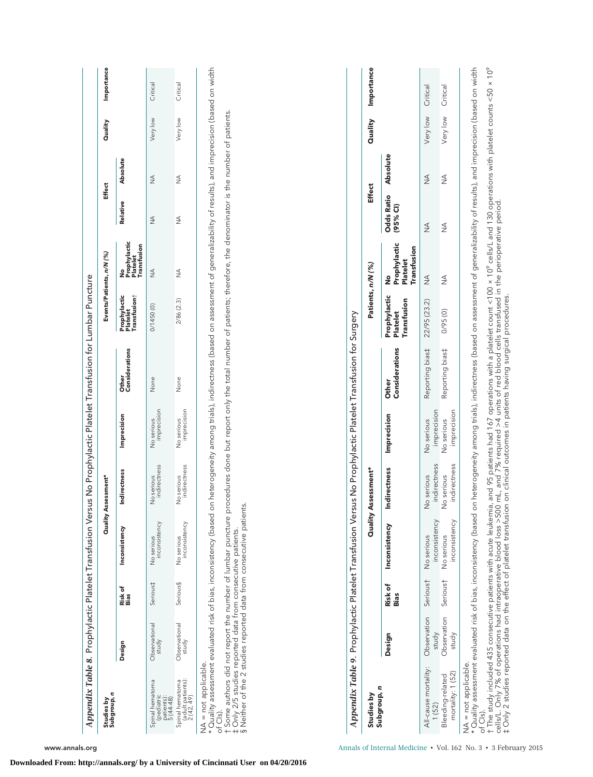| Studies by<br>Subgroup, n                                |                        |                 |                                                                                                                                                                                                                                                                                                                       | Quality Assessment*        |                           |                         |                                                      | Events/Patients, n/N (%)                     |               | <b>Effect</b>   | Quality  | Importance |
|----------------------------------------------------------|------------------------|-----------------|-----------------------------------------------------------------------------------------------------------------------------------------------------------------------------------------------------------------------------------------------------------------------------------------------------------------------|----------------------------|---------------------------|-------------------------|------------------------------------------------------|----------------------------------------------|---------------|-----------------|----------|------------|
|                                                          | Design                 | Risk of<br>Bias | Inconsistency                                                                                                                                                                                                                                                                                                         | Indirectness               | Imprecision               | Other<br>Considerations | Transfusion <sup>+</sup><br>Prophylactic<br>Platelet | Prophylactic<br>Platelet<br>Transfusion<br>ş | Relative      | <b>Absolute</b> |          |            |
| Spinal hematoma<br>(pediatric<br>patients):<br>5 (44-48) | Observational<br>study | Serious‡        | inconsistency<br>No serious                                                                                                                                                                                                                                                                                           | indirectness<br>No serious | imprecision<br>No serious | None                    | 0/1450(0)                                            | $\frac{4}{2}$                                | $\frac{4}{2}$ | $\frac{4}{2}$   | Very low | Critical   |
| (adult patients):<br>$2(42, 49)$<br>Spinal hematoma      | Observational<br>study | Serious§        | inconsistency<br>No serious                                                                                                                                                                                                                                                                                           | indirectness<br>No serious | imprecision<br>No serious | None                    | 2/86(2.3)                                            | $\frac{4}{2}$                                | $\frac{4}{2}$ | $\frac{4}{2}$   | Very low | Critical   |
| NA = not applicable.<br>of Cls).                         |                        |                 | * Quality assessment evaluated risk of bias, inconsistency (based on heterogeneity among trials), indirectness (based on assessment of generalizability of results), and imprecision (based on width                                                                                                                  |                            |                           |                         |                                                      |                                              |               |                 |          |            |
|                                                          |                        |                 | t Some authors did not report the number of lumbar puncture procedures done but report only the total number of patients; therefore, the denominator is the number of patients.<br>‡ Only 2/5 studies reported data from consecutive patients.<br>§ Neither of the 2 studies reported data from consecutive patients. |                            |                           |                         |                                                      |                                              |               |                 |          |            |

| Studies by                                                       |                                          |                 |               | Quality Assessment*        |                           |                                                                                                                                                                                                      |                                                | Patients, n/N (%)                       | <b>Effect</b>                 |                 |                   | Quality Importance |
|------------------------------------------------------------------|------------------------------------------|-----------------|---------------|----------------------------|---------------------------|------------------------------------------------------------------------------------------------------------------------------------------------------------------------------------------------------|------------------------------------------------|-----------------------------------------|-------------------------------|-----------------|-------------------|--------------------|
| Subgroup, n                                                      | <b>Design</b>                            | Risk of<br>Bias | Inconsistency | <b>Indirectness</b>        | Imprecision               | Considerations<br><b>Other</b>                                                                                                                                                                       | Prophylactic<br>Transfusion<br><b>Platelet</b> | Prophylactic<br>Transfusion<br>Platelet | <b>Odds Ratio</b><br>(95% CI) | <b>Absolute</b> |                   |                    |
| All-cause mortality:  Observation  Serious†  No serious<br>1(52) | study                                    |                 | inconsistency | indirectness<br>No serious | imprecision<br>No serious | Reporting biast 22/95 (23.2)                                                                                                                                                                         |                                                | $\frac{4}{2}$                           | $\frac{4}{2}$                 | $\leq$          | Very low Critical |                    |
| mortality: 1 (52)<br>Bleeding-related                            | Observation Serioust No serious<br>study |                 | inconsistency | indirectness<br>No serious | imprecision<br>No serious | Reporting biast                                                                                                                                                                                      | 0/95(0)                                        | $\frac{4}{2}$                           | $\frac{1}{2}$                 | $\frac{1}{2}$   | Very low Critical |                    |
| NA = not applicable.                                             |                                          |                 |               |                            |                           | * Quality assessment evaluated risk of bias, inconsistency (based on heterogeneity among trials). Indirectness (based on assessment of generalizability of results), and imprecision (based on width |                                                |                                         |                               |                 |                   |                    |

\* Quality assessment evaluated risk of bias, inconsistency (based on heterogeneity among trials), indirectness (based on assessment of generalizability of results), and imprecision (based on width 5.  $\zeta$ ת  $\ddot{ }$ -<br>ת  $\overline{\phantom{1}}$ ט<br>כל  $\frac{1}{2}$ 

of CIs). † The study included 435 consecutive patients with acute leukemia, and 95 patients had 167 operations with a platelet count <100 × 109 cells/L and 130 operations with platelet counts <50 × 109 cells/L. Only 7% of operations had intraoperative blood loss >500 mL, and 7% required >4 units of red blood cells transfused in the perioperative period.

‡ Only 2 studies reported data on the effect of platelet transfusion on clinical outcomes in patients having surgical procedures.